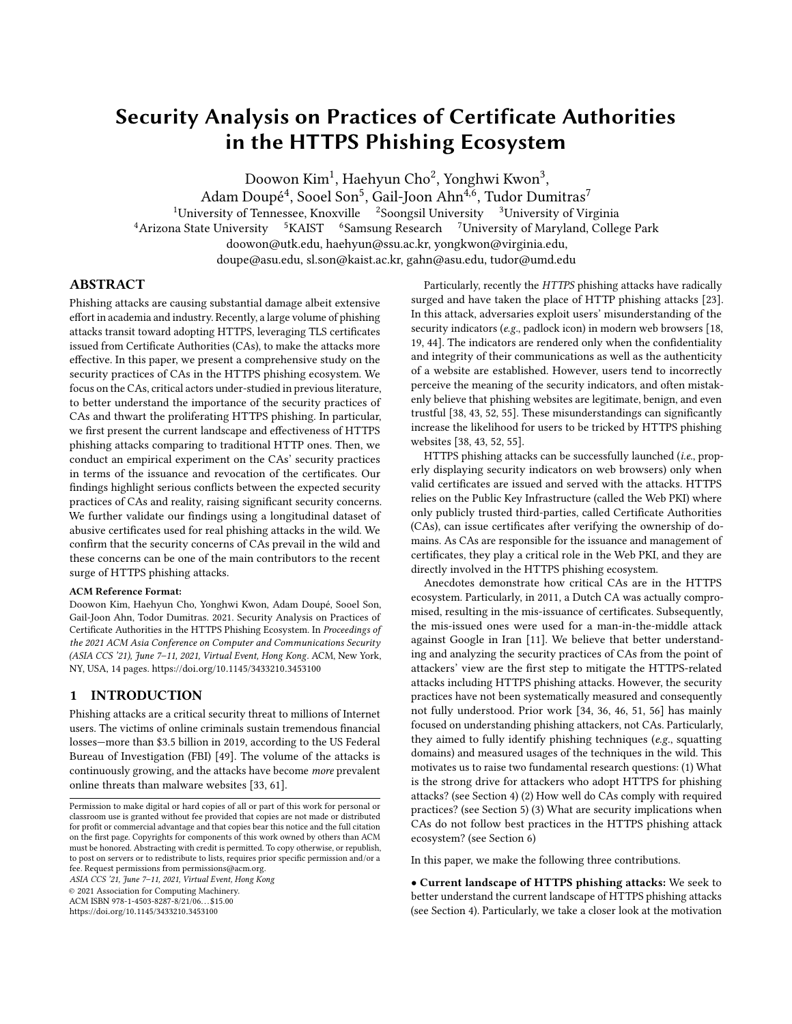# Security Analysis on Practices of Certificate Authorities in the HTTPS Phishing Ecosystem

Doowon Kim $^1$ , Haehyun Cho $^2$ , Yonghwi Kwon $^3,$ 

Adam Doupé<sup>4</sup>, Sooel Son<sup>5</sup>, Gail-Joon Ahn<sup>4,6</sup>, Tudor Dumitras<sup>7</sup>

<sup>1</sup>University of Tennessee, Knoxville  $\int^{2}$ Soongsil University  $\int^{3}$ University of Virginia <sup>4</sup> Arizona State University <sup>5</sup> KAIST <sup>6</sup> Samsung Research <sup>7</sup> University of Maryland, College Park doowon@utk.edu, haehyun@ssu.ac.kr, yongkwon@virginia.edu, doupe@asu.edu, sl.son@kaist.ac.kr, gahn@asu.edu, tudor@umd.edu

# ABSTRACT

Phishing attacks are causing substantial damage albeit extensive effort in academia and industry. Recently, a large volume of phishing attacks transit toward adopting HTTPS, leveraging TLS certificates issued from Certificate Authorities (CAs), to make the attacks more effective. In this paper, we present a comprehensive study on the security practices of CAs in the HTTPS phishing ecosystem. We focus on the CAs, critical actors under-studied in previous literature, to better understand the importance of the security practices of CAs and thwart the proliferating HTTPS phishing. In particular, we first present the current landscape and effectiveness of HTTPS phishing attacks comparing to traditional HTTP ones. Then, we conduct an empirical experiment on the CAs' security practices in terms of the issuance and revocation of the certificates. Our findings highlight serious conflicts between the expected security practices of CAs and reality, raising significant security concerns. We further validate our findings using a longitudinal dataset of abusive certificates used for real phishing attacks in the wild. We confirm that the security concerns of CAs prevail in the wild and these concerns can be one of the main contributors to the recent surge of HTTPS phishing attacks.

## ACM Reference Format:

Doowon Kim, Haehyun Cho, Yonghwi Kwon, Adam Doupé, Sooel Son, Gail-Joon Ahn, Todor Dumitras. 2021. Security Analysis on Practices of Certificate Authorities in the HTTPS Phishing Ecosystem. In Proceedings of the 2021 ACM Asia Conference on Computer and Communications Security (ASIA CCS '21), June 7–11, 2021, Virtual Event, Hong Kong. ACM, New York, NY, USA, [14](#page-13-0) pages. https://doi.org/10.[1145/3433210](https://doi.org/10.1145/3433210.3453100).3453100

## 1 INTRODUCTION

Phishing attacks are a critical security threat to millions of Internet users. The victims of online criminals sustain tremendous financial losses—more than \$3.5 billion in 2019, according to the US Federal Bureau of Investigation (FBI) [\[49\]](#page-12-0). The volume of the attacks is continuously growing, and the attacks have become more prevalent online threats than malware websites [\[33,](#page-11-0) [61\]](#page-12-1).

ASIA CCS '21, June 7–11, 2021, Virtual Event, Hong Kong © 2021 Association for Computing Machinery.

ACM ISBN 978-1-4503-8287-8/21/06. . . \$15.00

https://doi.org/10.[1145/3433210](https://doi.org/10.1145/3433210.3453100).3453100

Particularly, recently the HTTPS phishing attacks have radically surged and have taken the place of HTTP phishing attacks [\[23\]](#page-11-1). In this attack, adversaries exploit users' misunderstanding of the security indicators (e.g., padlock icon) in modern web browsers [\[18,](#page-11-2) [19,](#page-11-3) [44\]](#page-12-2). The indicators are rendered only when the confidentiality and integrity of their communications as well as the authenticity of a website are established. However, users tend to incorrectly perceive the meaning of the security indicators, and often mistakenly believe that phishing websites are legitimate, benign, and even trustful [\[38,](#page-12-3) [43,](#page-12-4) [52,](#page-12-5) [55\]](#page-12-6). These misunderstandings can significantly increase the likelihood for users to be tricked by HTTPS phishing websites [\[38,](#page-12-3) [43,](#page-12-4) [52,](#page-12-5) [55\]](#page-12-6).

HTTPS phishing attacks can be successfully launched (i.e., properly displaying security indicators on web browsers) only when valid certificates are issued and served with the attacks. HTTPS relies on the Public Key Infrastructure (called the Web PKI) where only publicly trusted third-parties, called Certificate Authorities (CAs), can issue certificates after verifying the ownership of domains. As CAs are responsible for the issuance and management of certificates, they play a critical role in the Web PKI, and they are directly involved in the HTTPS phishing ecosystem.

Anecdotes demonstrate how critical CAs are in the HTTPS ecosystem. Particularly, in 2011, a Dutch CA was actually compromised, resulting in the mis-issuance of certificates. Subsequently, the mis-issued ones were used for a man-in-the-middle attack against Google in Iran [\[11\]](#page-11-4). We believe that better understanding and analyzing the security practices of CAs from the point of attackers' view are the first step to mitigate the HTTPS-related attacks including HTTPS phishing attacks. However, the security practices have not been systematically measured and consequently not fully understood. Prior work [\[34,](#page-11-5) [36,](#page-12-7) [46,](#page-12-8) [51,](#page-12-9) [56\]](#page-12-10) has mainly focused on understanding phishing attackers, not CAs. Particularly, they aimed to fully identify phishing techniques (e.g., squatting domains) and measured usages of the techniques in the wild. This motivates us to raise two fundamental research questions: (1) What is the strong drive for attackers who adopt HTTPS for phishing attacks? (see [Section 4\)](#page-3-0) (2) How well do CAs comply with required practices? (see [Section 5\)](#page-4-0) (3) What are security implications when CAs do not follow best practices in the HTTPS phishing attack ecosystem? (see [Section 6\)](#page-7-0)

In this paper, we make the following three contributions.

• Current landscape of HTTPS phishing attacks: We seek to better understand the current landscape of HTTPS phishing attacks (see [Section 4\)](#page-3-0). Particularly, we take a closer look at the motivation

Permission to make digital or hard copies of all or part of this work for personal or classroom use is granted without fee provided that copies are not made or distributed for profit or commercial advantage and that copies bear this notice and the full citation on the first page. Copyrights for components of this work owned by others than ACM must be honored. Abstracting with credit is permitted. To copy otherwise, or republish, to post on servers or to redistribute to lists, requires prior specific permission and/or a fee. Request permissions from permissions@acm.org.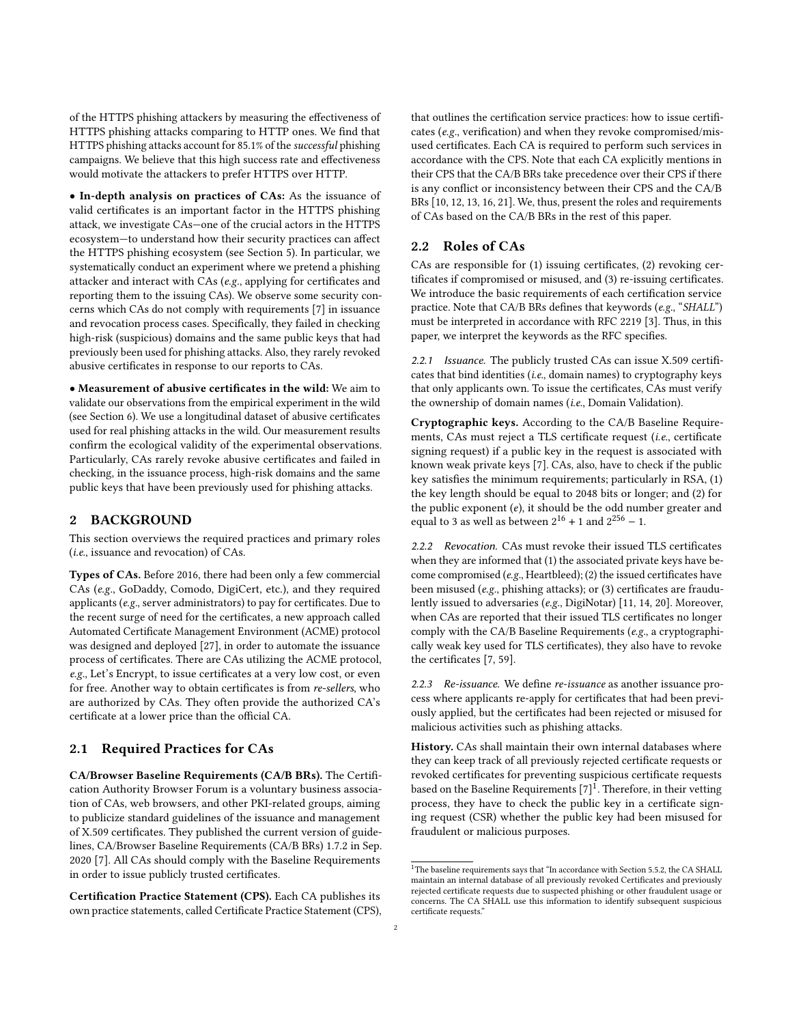of the HTTPS phishing attackers by measuring the effectiveness of HTTPS phishing attacks comparing to HTTP ones. We find that HTTPS phishing attacks account for 85.1% of the successful phishing campaigns. We believe that this high success rate and effectiveness would motivate the attackers to prefer HTTPS over HTTP.

• In-depth analysis on practices of CAs: As the issuance of valid certificates is an important factor in the HTTPS phishing attack, we investigate CAs—one of the crucial actors in the HTTPS ecosystem—to understand how their security practices can affect the HTTPS phishing ecosystem (see [Section 5\)](#page-4-0). In particular, we systematically conduct an experiment where we pretend a phishing attacker and interact with CAs (e.g., applying for certificates and reporting them to the issuing CAs). We observe some security concerns which CAs do not comply with requirements [\[7\]](#page-11-6) in issuance and revocation process cases. Specifically, they failed in checking high-risk (suspicious) domains and the same public keys that had previously been used for phishing attacks. Also, they rarely revoked abusive certificates in response to our reports to CAs.

• Measurement of abusive certificates in the wild: We aim to validate our observations from the empirical experiment in the wild (see [Section 6\)](#page-7-0). We use a longitudinal dataset of abusive certificates used for real phishing attacks in the wild. Our measurement results confirm the ecological validity of the experimental observations. Particularly, CAs rarely revoke abusive certificates and failed in checking, in the issuance process, high-risk domains and the same public keys that have been previously used for phishing attacks.

## 2 BACKGROUND

This section overviews the required practices and primary roles (i.e., issuance and revocation) of CAs.

Types of CAs. Before 2016, there had been only a few commercial CAs (e.g., GoDaddy, Comodo, DigiCert, etc.), and they required applicants (e.g., server administrators) to pay for certificates. Due to the recent surge of need for the certificates, a new approach called Automated Certificate Management Environment (ACME) protocol was designed and deployed [\[27\]](#page-11-7), in order to automate the issuance process of certificates. There are CAs utilizing the ACME protocol, e.g., Let's Encrypt, to issue certificates at a very low cost, or even for free. Another way to obtain certificates is from re-sellers, who are authorized by CAs. They often provide the authorized CA's certificate at a lower price than the official CA.

## 2.1 Required Practices for CAs

CA/Browser Baseline Requirements (CA/B BRs). The Certification Authority Browser Forum is a voluntary business association of CAs, web browsers, and other PKI-related groups, aiming to publicize standard guidelines of the issuance and management of X.509 certificates. They published the current version of guidelines, CA/Browser Baseline Requirements (CA/B BRs) 1.7.2 in Sep. 2020 [\[7\]](#page-11-6). All CAs should comply with the Baseline Requirements in order to issue publicly trusted certificates.

Certification Practice Statement (CPS). Each CA publishes its own practice statements, called Certificate Practice Statement (CPS), that outlines the certification service practices: how to issue certificates (e.g., verification) and when they revoke compromised/misused certificates. Each CA is required to perform such services in accordance with the CPS. Note that each CA explicitly mentions in their CPS that the CA/B BRs take precedence over their CPS if there is any conflict or inconsistency between their CPS and the CA/B BRs [\[10,](#page-11-8) [12,](#page-11-9) [13,](#page-11-10) [16,](#page-11-11) [21\]](#page-11-12). We, thus, present the roles and requirements of CAs based on the CA/B BRs in the rest of this paper.

## <span id="page-1-1"></span>2.2 Roles of CAs

CAs are responsible for (1) issuing certificates, (2) revoking certificates if compromised or misused, and (3) re-issuing certificates. We introduce the basic requirements of each certification service practice. Note that CA/B BRs defines that keywords (e.g., "SHALL") must be interpreted in accordance with RFC 2219 [\[3\]](#page-11-13). Thus, in this paper, we interpret the keywords as the RFC specifies.

2.2.1 Issuance. The publicly trusted CAs can issue X.509 certificates that bind identities (i.e., domain names) to cryptography keys that only applicants own. To issue the certificates, CAs must verify the ownership of domain names (i.e., Domain Validation).

Cryptographic keys. According to the CA/B Baseline Requirements, CAs must reject a TLS certificate request (i.e., certificate signing request) if a public key in the request is associated with known weak private keys [\[7\]](#page-11-6). CAs, also, have to check if the public key satisfies the minimum requirements; particularly in RSA, (1) the key length should be equal to 2048 bits or longer; and (2) for the public exponent  $(e)$ , it should be the odd number greater and equal to 3 as well as between  $2^{16} + 1$  and  $2^{256} - 1$ .

2.2.2 Revocation. CAs must revoke their issued TLS certificates when they are informed that (1) the associated private keys have become compromised (e.g., Heartbleed); (2) the issued certificates have been misused (e.g., phishing attacks); or (3) certificates are fraudulently issued to adversaries (e.g., DigiNotar) [\[11,](#page-11-4) [14,](#page-11-14) [20\]](#page-11-15). Moreover, when CAs are reported that their issued TLS certificates no longer comply with the CA/B Baseline Requirements (e.g., a cryptographically weak key used for TLS certificates), they also have to revoke the certificates [\[7,](#page-11-6) [59\]](#page-12-11).

2.2.3 Re-issuance. We define re-issuance as another issuance process where applicants re-apply for certificates that had been previously applied, but the certificates had been rejected or misused for malicious activities such as phishing attacks.

History. CAs shall maintain their own internal databases where they can keep track of all previously rejected certificate requests or revoked certificates for preventing suspicious certificate requests based on the Baseline Requirements  $[7]^1$  $[7]^1$  $[7]^1$ . Therefore, in their vetting process, they have to check the public key in a certificate signing request (CSR) whether the public key had been misused for fraudulent or malicious purposes.

<span id="page-1-0"></span><sup>&</sup>lt;sup>1</sup>The baseline requirements says that "In accordance with Section 5.5.2, the CA SHALL maintain an internal database of all previously revoked Certificates and previously rejected certificate requests due to suspected phishing or other fraudulent usage or concerns. The CA SHALL use this information to identify subsequent suspicious certificate requests."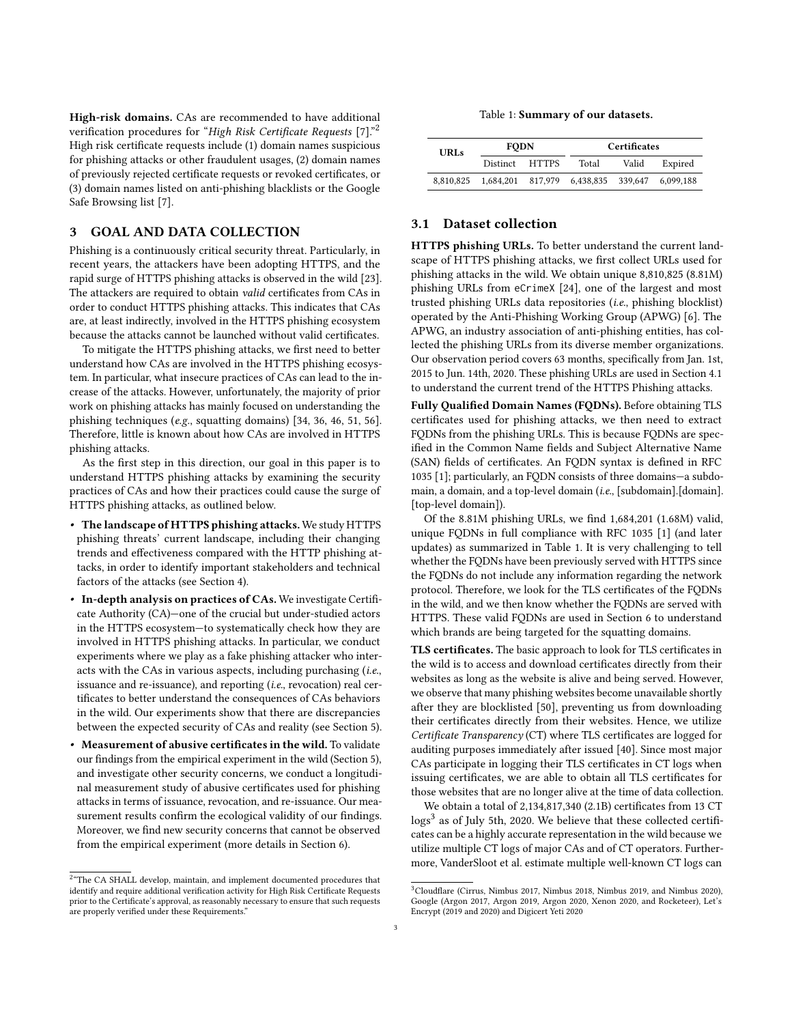High-risk domains. CAs are recommended to have additional verification procedures for "High Risk Certificate Requests [\[7\]](#page-11-6)."[2](#page-2-0) High risk certificate requests include (1) domain names suspicious for phishing attacks or other fraudulent usages, (2) domain names of previously rejected certificate requests or revoked certificates, or (3) domain names listed on anti-phishing blacklists or the Google Safe Browsing list [\[7\]](#page-11-6).

## 3 GOAL AND DATA COLLECTION

Phishing is a continuously critical security threat. Particularly, in recent years, the attackers have been adopting HTTPS, and the rapid surge of HTTPS phishing attacks is observed in the wild [\[23\]](#page-11-1). The attackers are required to obtain valid certificates from CAs in order to conduct HTTPS phishing attacks. This indicates that CAs are, at least indirectly, involved in the HTTPS phishing ecosystem because the attacks cannot be launched without valid certificates.

To mitigate the HTTPS phishing attacks, we first need to better understand how CAs are involved in the HTTPS phishing ecosystem. In particular, what insecure practices of CAs can lead to the increase of the attacks. However, unfortunately, the majority of prior work on phishing attacks has mainly focused on understanding the phishing techniques (e.g., squatting domains) [\[34,](#page-11-5) [36,](#page-12-7) [46,](#page-12-8) [51,](#page-12-9) [56\]](#page-12-10). Therefore, little is known about how CAs are involved in HTTPS phishing attacks.

As the first step in this direction, our goal in this paper is to understand HTTPS phishing attacks by examining the security practices of CAs and how their practices could cause the surge of HTTPS phishing attacks, as outlined below.

- The landscape of HTTPS phishing attacks. We study HTTPS phishing threats' current landscape, including their changing trends and effectiveness compared with the HTTP phishing attacks, in order to identify important stakeholders and technical factors of the attacks (see [Section 4\)](#page-3-0).
- In-depth analysis on practices of CAs. We investigate Certificate Authority (CA)—one of the crucial but under-studied actors in the HTTPS ecosystem—to systematically check how they are involved in HTTPS phishing attacks. In particular, we conduct experiments where we play as a fake phishing attacker who interacts with the CAs in various aspects, including purchasing (i.e., issuance and re-issuance), and reporting (i.e., revocation) real certificates to better understand the consequences of CAs behaviors in the wild. Our experiments show that there are discrepancies between the expected security of CAs and reality (see [Section 5\)](#page-4-0).
- Measurement of abusive certificates in the wild. To validate our findings from the empirical experiment in the wild [\(Section 5\)](#page-4-0), and investigate other security concerns, we conduct a longitudinal measurement study of abusive certificates used for phishing attacks in terms of issuance, revocation, and re-issuance. Our measurement results confirm the ecological validity of our findings. Moreover, we find new security concerns that cannot be observed from the empirical experiment (more details in [Section 6\)](#page-7-0).

Table 1: Summary of our datasets.

<span id="page-2-1"></span>

| <b>URLs</b> | <b>FODN</b>    |  | <b>Certificates</b>                           |       |         |
|-------------|----------------|--|-----------------------------------------------|-------|---------|
|             | Distinct HTTPS |  | Total                                         | Valid | Expired |
| 8.810.825   |                |  | 1.684.201 817.979 6.438.835 339.647 6.099.188 |       |         |

## <span id="page-2-3"></span>3.1 Dataset collection

HTTPS phishing URLs. To better understand the current landscape of HTTPS phishing attacks, we first collect URLs used for phishing attacks in the wild. We obtain unique 8,810,825 (8.81M) phishing URLs from eCrimeX [\[24\]](#page-11-16), one of the largest and most trusted phishing URLs data repositories (i.e., phishing blocklist) operated by the Anti-Phishing Working Group (APWG) [\[6\]](#page-11-17). The APWG, an industry association of anti-phishing entities, has collected the phishing URLs from its diverse member organizations. Our observation period covers 63 months, specifically from Jan. 1st, 2015 to Jun. 14th, 2020. These phishing URLs are used in [Section 4.1](#page-3-1) to understand the current trend of the HTTPS Phishing attacks.

Fully Qualified Domain Names (FQDNs). Before obtaining TLS certificates used for phishing attacks, we then need to extract FQDNs from the phishing URLs. This is because FQDNs are specified in the Common Name fields and Subject Alternative Name (SAN) fields of certificates. An FQDN syntax is defined in RFC 1035 [\[1\]](#page-11-18); particularly, an FQDN consists of three domains—a subdomain, a domain, and a top-level domain (i.e., [subdomain].[domain]. [top-level domain]).

Of the 8.81M phishing URLs, we find 1,684,201 (1.68M) valid, unique FQDNs in full compliance with RFC 1035 [\[1\]](#page-11-18) (and later updates) as summarized in [Table 1.](#page-2-1) It is very challenging to tell whether the FQDNs have been previously served with HTTPS since the FQDNs do not include any information regarding the network protocol. Therefore, we look for the TLS certificates of the FQDNs in the wild, and we then know whether the FQDNs are served with HTTPS. These valid FQDNs are used in [Section 6](#page-7-0) to understand which brands are being targeted for the squatting domains.

TLS certificates. The basic approach to look for TLS certificates in the wild is to access and download certificates directly from their websites as long as the website is alive and being served. However, we observe that many phishing websites become unavailable shortly after they are blocklisted [\[50\]](#page-12-12), preventing us from downloading their certificates directly from their websites. Hence, we utilize Certificate Transparency (CT) where TLS certificates are logged for auditing purposes immediately after issued [\[40\]](#page-12-13). Since most major CAs participate in logging their TLS certificates in CT logs when issuing certificates, we are able to obtain all TLS certificates for those websites that are no longer alive at the time of data collection.

We obtain a total of 2,134,817,340 (2.1B) certificates from 13 CT logs<sup>[3](#page-2-2)</sup> as of July 5th, 2020. We believe that these collected certificates can be a highly accurate representation in the wild because we utilize multiple CT logs of major CAs and of CT operators. Furthermore, VanderSloot et al. estimate multiple well-known CT logs can

<span id="page-2-0"></span><sup>&</sup>lt;sup>2</sup>"The CA SHALL develop, maintain, and implement documented procedures that identify and require additional verification activity for High Risk Certificate Requests prior to the Certificate's approval, as reasonably necessary to ensure that such requests are properly verified under these Requirements."

<span id="page-2-2"></span><sup>3</sup>Cloudflare (Cirrus, Nimbus 2017, Nimbus 2018, Nimbus 2019, and Nimbus 2020), Google (Argon 2017, Argon 2019, Argon 2020, Xenon 2020, and Rocketeer), Let's Encrypt (2019 and 2020) and Digicert Yeti 2020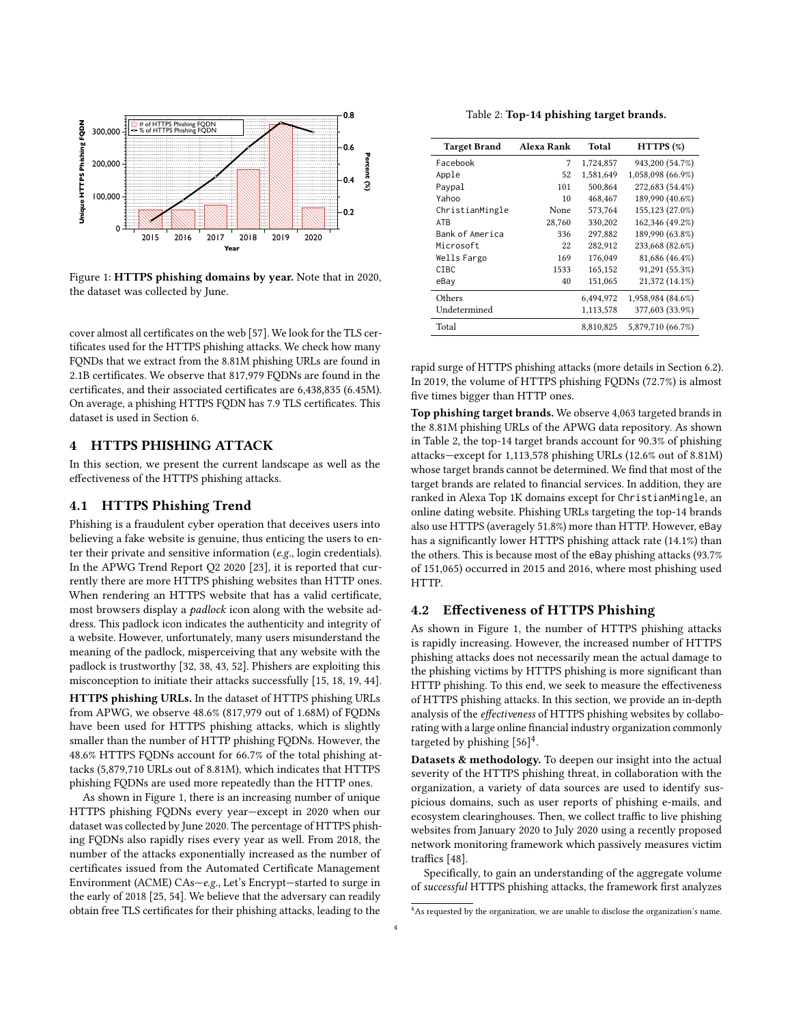<span id="page-3-2"></span>

Figure 1: HTTPS phishing domains by year. Note that in 2020, the dataset was collected by June.

cover almost all certificates on the web [\[57\]](#page-12-14). We look for the TLS certificates used for the HTTPS phishing attacks. We check how many FQNDs that we extract from the 8.81M phishing URLs are found in 2.1B certificates. We observe that 817,979 FQDNs are found in the certificates, and their associated certificates are 6,438,835 (6.45M). On average, a phishing HTTPS FQDN has 7.9 TLS certificates. This dataset is used in [Section 6.](#page-7-0)

# <span id="page-3-0"></span>4 HTTPS PHISHING ATTACK

In this section, we present the current landscape as well as the effectiveness of the HTTPS phishing attacks.

#### <span id="page-3-1"></span>4.1 HTTPS Phishing Trend

Phishing is a fraudulent cyber operation that deceives users into believing a fake website is genuine, thus enticing the users to enter their private and sensitive information (e.g., login credentials). In the APWG Trend Report Q2 2020 [\[23\]](#page-11-1), it is reported that currently there are more HTTPS phishing websites than HTTP ones. When rendering an HTTPS website that has a valid certificate, most browsers display a padlock icon along with the website address. This padlock icon indicates the authenticity and integrity of a website. However, unfortunately, many users misunderstand the meaning of the padlock, misperceiving that any website with the padlock is trustworthy [\[32,](#page-11-19) [38,](#page-12-3) [43,](#page-12-4) [52\]](#page-12-5). Phishers are exploiting this misconception to initiate their attacks successfully [\[15,](#page-11-20) [18,](#page-11-2) [19,](#page-11-3) [44\]](#page-12-2).

HTTPS phishing URLs. In the dataset of HTTPS phishing URLs from APWG, we observe 48.6% (817,979 out of 1.68M) of FQDNs have been used for HTTPS phishing attacks, which is slightly smaller than the number of HTTP phishing FQDNs. However, the 48.6% HTTPS FQDNs account for 66.7% of the total phishing attacks (5,879,710 URLs out of 8.81M), which indicates that HTTPS phishing FQDNs are used more repeatedly than the HTTP ones.

As shown in [Figure 1,](#page-3-2) there is an increasing number of unique HTTPS phishing FQDNs every year—except in 2020 when our dataset was collected by June 2020. The percentage of HTTPS phishing FQDNs also rapidly rises every year as well. From 2018, the number of the attacks exponentially increased as the number of certificates issued from the Automated Certificate Management Environment (ACME) CAs—e.g., Let's Encrypt—started to surge in the early of 2018 [\[25,](#page-11-21) [54\]](#page-12-15). We believe that the adversary can readily obtain free TLS certificates for their phishing attacks, leading to the

Table 2: Top-14 phishing target brands.

<span id="page-3-3"></span>

| <b>Target Brand</b> | Alexa Rank | Total     | $HTTPS (\%)$      |
|---------------------|------------|-----------|-------------------|
| Facebook            | 7          | 1,724,857 | 943,200 (54.7%)   |
| Apple               | 52         | 1,581,649 | 1,058,098 (66.9%) |
| Paypal              | 101        | 500,864   | 272,683 (54.4%)   |
| Yahoo               | 10         | 468,467   | 189,990 (40.6%)   |
| ChristianMingle     | None       | 573,764   | 155,123 (27.0%)   |
| <b>ATB</b>          | 28,760     | 330,202   | 162,346 (49.2%)   |
| Bank of America     | 336        | 297,882   | 189,990 (63.8%)   |
| Microsoft           | 22         | 282,912   | 233,668 (82.6%)   |
| Wells Fargo         | 169        | 176,049   | 81,686 (46.4%)    |
| <b>CTBC</b>         | 1533       | 165,152   | 91,291 (55.3%)    |
| eBay                | 40         | 151,065   | 21,372 (14.1%)    |
| Others              |            | 6,494,972 | 1,958,984 (84.6%) |
| Undetermined        |            | 1,113,578 | 377,603 (33.9%)   |
| Total               |            | 8,810,825 | 5,879,710 (66.7%) |

rapid surge of HTTPS phishing attacks (more details in [Section 6.2\)](#page-8-0). In 2019, the volume of HTTPS phishing FQDNs (72.7%) is almost five times bigger than HTTP ones.

Top phishing target brands. We observe 4,063 targeted brands in the 8.81M phishing URLs of the APWG data repository. As shown in [Table 2,](#page-3-3) the top-14 target brands account for 90.3% of phishing attacks—except for 1,113,578 phishing URLs (12.6% out of 8.81M) whose target brands cannot be determined. We find that most of the target brands are related to financial services. In addition, they are ranked in Alexa Top 1K domains except for ChristianMingle, an online dating website. Phishing URLs targeting the top-14 brands also use HTTPS (averagely 51.8%) more than HTTP. However, eBay has a significantly lower HTTPS phishing attack rate (14.1%) than the others. This is because most of the eBay phishing attacks (93.7% of 151,065) occurred in 2015 and 2016, where most phishing used HTTP.

#### 4.2 Effectiveness of HTTPS Phishing

As shown in [Figure 1,](#page-3-2) the number of HTTPS phishing attacks is rapidly increasing. However, the increased number of HTTPS phishing attacks does not necessarily mean the actual damage to the phishing victims by HTTPS phishing is more significant than HTTP phishing. To this end, we seek to measure the effectiveness of HTTPS phishing attacks. In this section, we provide an in-depth analysis of the effectiveness of HTTPS phishing websites by collaborating with a large online financial industry organization commonly targeted by phishing  $[56]^4$  $[56]^4$  $[56]^4$ .

Datasets & methodology. To deepen our insight into the actual severity of the HTTPS phishing threat, in collaboration with the organization, a variety of data sources are used to identify suspicious domains, such as user reports of phishing e-mails, and ecosystem clearinghouses. Then, we collect traffic to live phishing websites from January 2020 to July 2020 using a recently proposed network monitoring framework which passively measures victim traffics [\[48\]](#page-12-16).

Specifically, to gain an understanding of the aggregate volume of successful HTTPS phishing attacks, the framework first analyzes

<span id="page-3-4"></span><sup>&</sup>lt;sup>4</sup>As requested by the organization, we are unable to disclose the organization's name.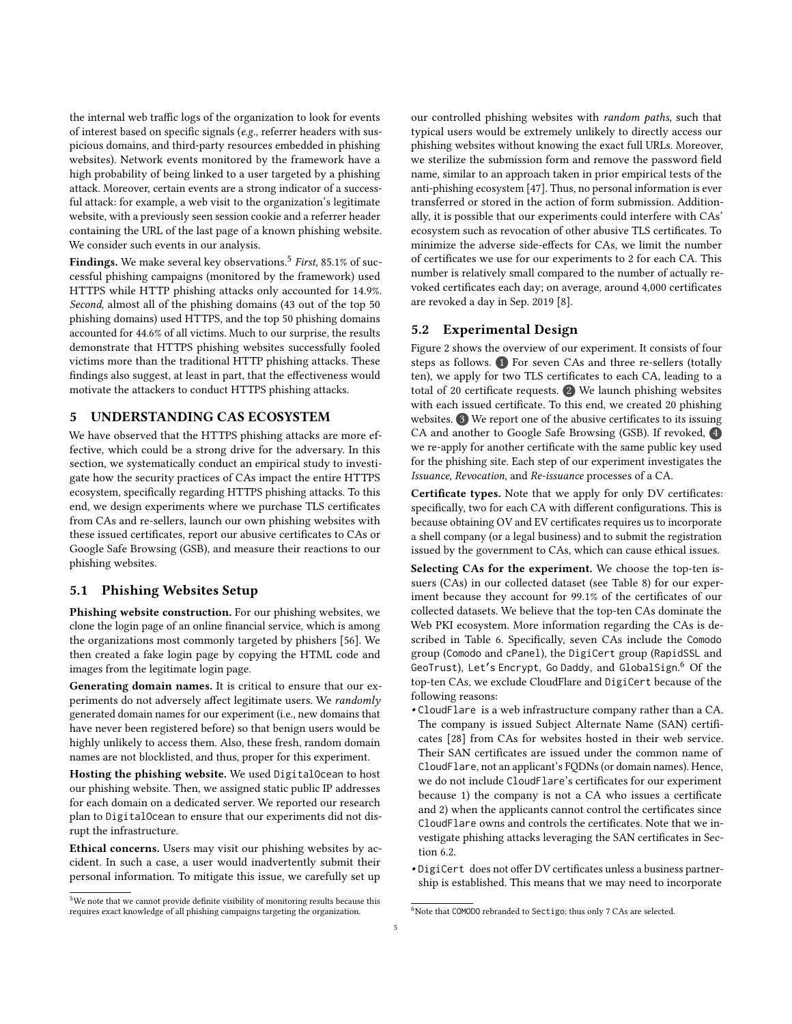the internal web traffic logs of the organization to look for events of interest based on specific signals (e.g., referrer headers with suspicious domains, and third-party resources embedded in phishing websites). Network events monitored by the framework have a high probability of being linked to a user targeted by a phishing attack. Moreover, certain events are a strong indicator of a successful attack: for example, a web visit to the organization's legitimate website, with a previously seen session cookie and a referrer header containing the URL of the last page of a known phishing website. We consider such events in our analysis.

Findings. We make several key observations. $^5$  $^5$  First, 85.1% of successful phishing campaigns (monitored by the framework) used HTTPS while HTTP phishing attacks only accounted for 14.9%. Second, almost all of the phishing domains (43 out of the top 50 phishing domains) used HTTPS, and the top 50 phishing domains accounted for 44.6% of all victims. Much to our surprise, the results demonstrate that HTTPS phishing websites successfully fooled victims more than the traditional HTTP phishing attacks. These findings also suggest, at least in part, that the effectiveness would motivate the attackers to conduct HTTPS phishing attacks.

## <span id="page-4-0"></span>5 UNDERSTANDING CAS ECOSYSTEM

We have observed that the HTTPS phishing attacks are more effective, which could be a strong drive for the adversary. In this section, we systematically conduct an empirical study to investigate how the security practices of CAs impact the entire HTTPS ecosystem, specifically regarding HTTPS phishing attacks. To this end, we design experiments where we purchase TLS certificates from CAs and re-sellers, launch our own phishing websites with these issued certificates, report our abusive certificates to CAs or Google Safe Browsing (GSB), and measure their reactions to our phishing websites.

# <span id="page-4-3"></span>5.1 Phishing Websites Setup

Phishing website construction. For our phishing websites, we clone the login page of an online financial service, which is among the organizations most commonly targeted by phishers [\[56\]](#page-12-10). We then created a fake login page by copying the HTML code and images from the legitimate login page.

Generating domain names. It is critical to ensure that our experiments do not adversely affect legitimate users. We randomly generated domain names for our experiment (i.e., new domains that have never been registered before) so that benign users would be highly unlikely to access them. Also, these fresh, random domain names are not blocklisted, and thus, proper for this experiment.

Hosting the phishing website. We used DigitalOcean to host our phishing website. Then, we assigned static public IP addresses for each domain on a dedicated server. We reported our research plan to DigitalOcean to ensure that our experiments did not disrupt the infrastructure.

Ethical concerns. Users may visit our phishing websites by accident. In such a case, a user would inadvertently submit their personal information. To mitigate this issue, we carefully set up

our controlled phishing websites with random paths, such that typical users would be extremely unlikely to directly access our phishing websites without knowing the exact full URLs. Moreover, we sterilize the submission form and remove the password field name, similar to an approach taken in prior empirical tests of the anti-phishing ecosystem [\[47\]](#page-12-17). Thus, no personal information is ever transferred or stored in the action of form submission. Additionally, it is possible that our experiments could interfere with CAs' ecosystem such as revocation of other abusive TLS certificates. To minimize the adverse side-effects for CAs, we limit the number of certificates we use for our experiments to 2 for each CA. This number is relatively small compared to the number of actually revoked certificates each day; on average, around 4,000 certificates are revoked a day in Sep. 2019 [\[8\]](#page-11-22).

## 5.2 Experimental Design

[Figure 2](#page-5-0) shows the overview of our experiment. It consists of four steps as follows.  $\bullet$  For seven CAs and three re-sellers (totally ten), we apply for two TLS certificates to each CA, leading to a total of 20 certificate requests. 2 We launch phishing websites with each issued certificate. To this end, we created 20 phishing websites. 3 We report one of the abusive certificates to its issuing CA and another to Google Safe Browsing (GSB). If revoked, 4 we re-apply for another certificate with the same public key used for the phishing site. Each step of our experiment investigates the Issuance, Revocation, and Re-issuance processes of a CA.

Certificate types. Note that we apply for only DV certificates: specifically, two for each CA with different configurations. This is because obtaining OV and EV certificates requires us to incorporate a shell company (or a legal business) and to submit the registration issued by the government to CAs, which can cause ethical issues.

Selecting CAs for the experiment. We choose the top-ten issuers (CAs) in our collected dataset (see [Table 8\)](#page-13-1) for our experiment because they account for 99.1% of the certificates of our collected datasets. We believe that the top-ten CAs dominate the Web PKI ecosystem. More information regarding the CAs is described in [Table 6.](#page-13-2) Specifically, seven CAs include the Comodo group (Comodo and cPanel), the DigiCert group (RapidSSL and GeoTrust), Let′s Encrypt, Go Daddy, and GlobalSign. [6](#page-4-2) Of the top-ten CAs, we exclude CloudFlare and DigiCert because of the following reasons:

- CloudFlare is a web infrastructure company rather than a CA. The company is issued Subject Alternate Name (SAN) certificates [\[28\]](#page-11-23) from CAs for websites hosted in their web service. Their SAN certificates are issued under the common name of CloudFlare, not an applicant's FQDNs (or domain names). Hence, we do not include CloudFlare's certificates for our experiment because 1) the company is not a CA who issues a certificate and 2) when the applicants cannot control the certificates since CloudFlare owns and controls the certificates. Note that we investigate phishing attacks leveraging the SAN certificates in [Sec](#page-8-0)tion  $6.2$
- DigiCert does not offer DV certificates unless a business partnership is established. This means that we may need to incorporate

<span id="page-4-1"></span><sup>5</sup>We note that we cannot provide definite visibility of monitoring results because this requires exact knowledge of all phishing campaigns targeting the organization.

<span id="page-4-2"></span> $6$ Note that COMODO rebranded to Sectigo; thus only 7 CAs are selected.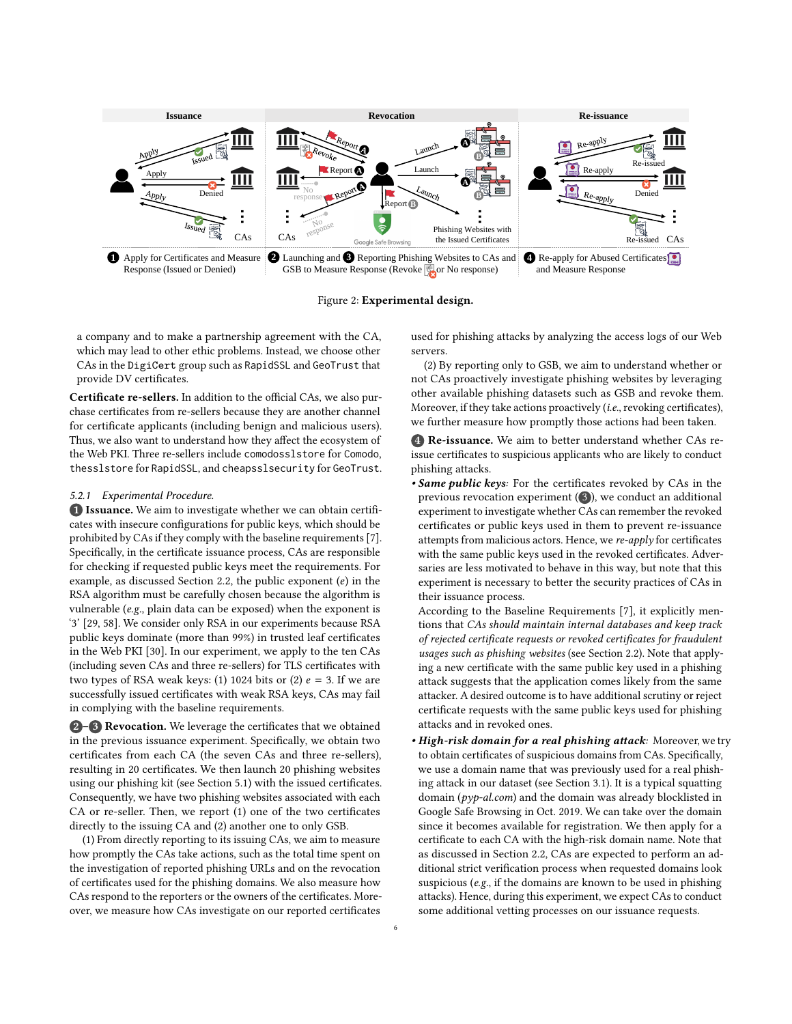<span id="page-5-0"></span>

Figure 2: Experimental design.

a company and to make a partnership agreement with the CA, which may lead to other ethic problems. Instead, we choose other CAs in the DigiCert group such as RapidSSL and GeoTrust that provide DV certificates.

Certificate re-sellers. In addition to the official CAs, we also purchase certificates from re-sellers because they are another channel for certificate applicants (including benign and malicious users). Thus, we also want to understand how they affect the ecosystem of the Web PKI. Three re-sellers include comodosslstore for Comodo, thesslstore for RapidSSL, and cheapsslsecurity for GeoTrust.

#### 5.2.1 Experimental Procedure.

1 Issuance. We aim to investigate whether we can obtain certificates with insecure configurations for public keys, which should be prohibited by CAs if they comply with the baseline requirements [\[7\]](#page-11-6). Specifically, in the certificate issuance process, CAs are responsible for checking if requested public keys meet the requirements. For example, as discussed Section [2.2,](#page-1-1) the public exponent  $(e)$  in the RSA algorithm must be carefully chosen because the algorithm is vulnerable (e.g., plain data can be exposed) when the exponent is '3' [\[29,](#page-11-24) [58\]](#page-12-18). We consider only RSA in our experiments because RSA public keys dominate (more than 99%) in trusted leaf certificates in the Web PKI [\[30\]](#page-11-25). In our experiment, we apply to the ten CAs (including seven CAs and three re-sellers) for TLS certificates with two types of RSA weak keys: (1) 1024 bits or (2)  $e = 3$ . If we are successfully issued certificates with weak RSA keys, CAs may fail in complying with the baseline requirements.

**2-3 Revocation.** We leverage the certificates that we obtained in the previous issuance experiment. Specifically, we obtain two certificates from each CA (the seven CAs and three re-sellers), resulting in 20 certificates. We then launch 20 phishing websites using our phishing kit (see [Section 5.1\)](#page-4-3) with the issued certificates. Consequently, we have two phishing websites associated with each CA or re-seller. Then, we report (1) one of the two certificates directly to the issuing CA and (2) another one to only GSB.

(1) From directly reporting to its issuing CAs, we aim to measure how promptly the CAs take actions, such as the total time spent on the investigation of reported phishing URLs and on the revocation of certificates used for the phishing domains. We also measure how CAs respond to the reporters or the owners of the certificates. Moreover, we measure how CAs investigate on our reported certificates used for phishing attacks by analyzing the access logs of our Web servers.

(2) By reporting only to GSB, we aim to understand whether or not CAs proactively investigate phishing websites by leveraging other available phishing datasets such as GSB and revoke them. Moreover, if they take actions proactively (i.e., revoking certificates), we further measure how promptly those actions had been taken.

4 Re-issuance. We aim to better understand whether CAs reissue certificates to suspicious applicants who are likely to conduct phishing attacks.

• Same public keys: For the certificates revoked by CAs in the previous revocation experiment  $(3)$ , we conduct an additional experiment to investigate whether CAs can remember the revoked certificates or public keys used in them to prevent re-issuance attempts from malicious actors. Hence, we re-apply for certificates with the same public keys used in the revoked certificates. Adversaries are less motivated to behave in this way, but note that this experiment is necessary to better the security practices of CAs in their issuance process.

According to the Baseline Requirements [\[7\]](#page-11-6), it explicitly mentions that CAs should maintain internal databases and keep track of rejected certificate requests or revoked certificates for fraudulent usages such as phishing websites (see [Section 2.2\)](#page-1-1). Note that applying a new certificate with the same public key used in a phishing attack suggests that the application comes likely from the same attacker. A desired outcome is to have additional scrutiny or reject certificate requests with the same public keys used for phishing attacks and in revoked ones.

• High-risk domain for a real phishing attack: Moreover, we try to obtain certificates of suspicious domains from CAs. Specifically, we use a domain name that was previously used for a real phishing attack in our dataset (see Section [3.1\)](#page-2-3). It is a typical squatting domain (pyp-al.com) and the domain was already blocklisted in Google Safe Browsing in Oct. 2019. We can take over the domain since it becomes available for registration. We then apply for a certificate to each CA with the high-risk domain name. Note that as discussed in Section [2.2,](#page-1-1) CAs are expected to perform an additional strict verification process when requested domains look suspicious (e.g., if the domains are known to be used in phishing attacks). Hence, during this experiment, we expect CAs to conduct some additional vetting processes on our issuance requests.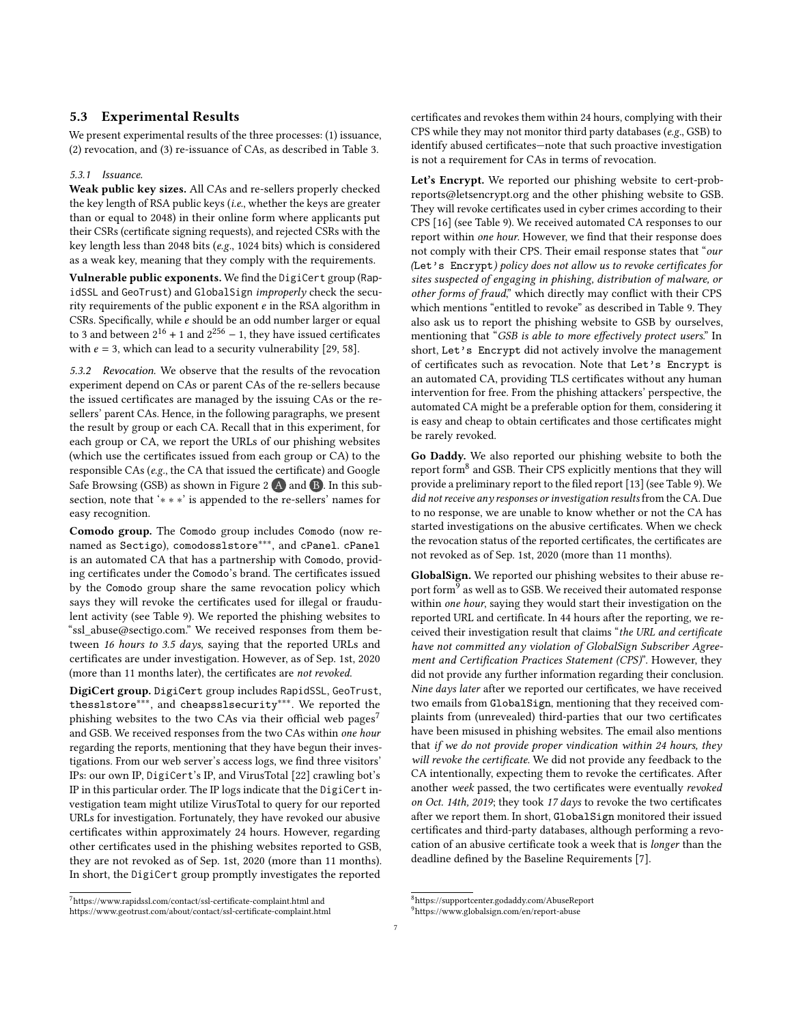## <span id="page-6-5"></span>5.3 Experimental Results

We present experimental results of the three processes: (1) issuance, (2) revocation, and (3) re-issuance of CAs, as described in [Table 3.](#page-7-1)

#### <span id="page-6-3"></span>5.3.1 Issuance.

Weak public key sizes. All CAs and re-sellers properly checked the key length of RSA public keys (i.e., whether the keys are greater than or equal to 2048) in their online form where applicants put their CSRs (certificate signing requests), and rejected CSRs with the key length less than 2048 bits (e.g., 1024 bits) which is considered as a weak key, meaning that they comply with the requirements.

Vulnerable public exponents. We find the DigiCert group (RapidSSL and GeoTrust) and GlobalSign improperly check the security requirements of the public exponent  $e$  in the RSA algorithm in CSRs. Specifically, while e should be an odd number larger or equal to 3 and between  $2^{16} + 1$  and  $2^{256} - 1$ , they have issued certificates with  $e = 3$ , which can lead to a security vulnerability [\[29,](#page-11-24) [58\]](#page-12-18).

<span id="page-6-4"></span>5.3.2 Revocation. We observe that the results of the revocation experiment depend on CAs or parent CAs of the re-sellers because the issued certificates are managed by the issuing CAs or the resellers' parent CAs. Hence, in the following paragraphs, we present the result by group or each CA. Recall that in this experiment, for each group or CA, we report the URLs of our phishing websites (which use the certificates issued from each group or CA) to the responsible CAs (e.g., the CA that issued the certificate) and Google Safe Browsing (GSB) as shown in [Figure 2](#page-5-0)  $\overline{A}$  and  $\overline{B}$ . In this subsection, note that '∗ ∗ ∗' is appended to the re-sellers' names for easy recognition.

Comodo group. The Comodo group includes Comodo (now renamed as Sectigo), comodosslstore<sup>\*\*\*</sup>, and cPanel. cPanel is an automated CA that has a partnership with Comodo, providing certificates under the Comodo's brand. The certificates issued by the Comodo group share the same revocation policy which says they will revoke the certificates used for illegal or fraudulent activity (see [Table 9\)](#page-13-3). We reported the phishing websites to "ssl\_abuse@sectigo.com." We received responses from them between 16 hours to 3.5 days, saying that the reported URLs and certificates are under investigation. However, as of Sep. 1st, 2020 (more than 11 months later), the certificates are not revoked.

DigiCert group. DigiCert group includes RapidSSL, GeoTrust, thesslstore∗∗∗, and cheapsslsecurity∗∗∗. We reported the phishing websites to the two CAs via their official web pages<sup>[7](#page-6-0)</sup> and GSB. We received responses from the two CAs within one hour regarding the reports, mentioning that they have begun their investigations. From our web server's access logs, we find three visitors' IPs: our own IP, DigiCert's IP, and VirusTotal [\[22\]](#page-11-26) crawling bot's IP in this particular order. The IP logs indicate that the DigiCert investigation team might utilize VirusTotal to query for our reported URLs for investigation. Fortunately, they have revoked our abusive certificates within approximately 24 hours. However, regarding other certificates used in the phishing websites reported to GSB, they are not revoked as of Sep. 1st, 2020 (more than 11 months). In short, the DigiCert group promptly investigates the reported

certificates and revokes them within 24 hours, complying with their CPS while they may not monitor third party databases (e.g., GSB) to identify abused certificates—note that such proactive investigation is not a requirement for CAs in terms of revocation.

Let's Encrypt. We reported our phishing website to cert-probreports@letsencrypt.org and the other phishing website to GSB. They will revoke certificates used in cyber crimes according to their CPS [\[16\]](#page-11-11) (see [Table 9\)](#page-13-3). We received automated CA responses to our report within one hour. However, we find that their response does not comply with their CPS. Their email response states that "our (Let's Encrypt) policy does not allow us to revoke certificates for sites suspected of engaging in phishing, distribution of malware, or other forms of fraud," which directly may conflict with their CPS which mentions "entitled to revoke" as described in [Table 9.](#page-13-3) They also ask us to report the phishing website to GSB by ourselves, mentioning that "GSB is able to more effectively protect users." In short, Let's Encrypt did not actively involve the management of certificates such as revocation. Note that Let's Encrypt is an automated CA, providing TLS certificates without any human intervention for free. From the phishing attackers' perspective, the automated CA might be a preferable option for them, considering it is easy and cheap to obtain certificates and those certificates might be rarely revoked.

Go Daddy. We also reported our phishing website to both the report form<sup>[8](#page-6-1)</sup> and GSB. Their CPS explicitly mentions that they will provide a preliminary report to the filed report [\[13\]](#page-11-10) (see [Table 9\)](#page-13-3). We did not receive any responses or investigation results from the CA. Due to no response, we are unable to know whether or not the CA has started investigations on the abusive certificates. When we check the revocation status of the reported certificates, the certificates are not revoked as of Sep. 1st, 2020 (more than 11 months).

GlobalSign. We reported our phishing websites to their abuse report form $^9$  $^9$  as well as to GSB. We received their automated response within one hour, saying they would start their investigation on the reported URL and certificate. In 44 hours after the reporting, we received their investigation result that claims "the URL and certificate have not committed any violation of GlobalSign Subscriber Agreement and Certification Practices Statement (CPS)". However, they did not provide any further information regarding their conclusion. Nine days later after we reported our certificates, we have received two emails from GlobalSign, mentioning that they received complaints from (unrevealed) third-parties that our two certificates have been misused in phishing websites. The email also mentions that if we do not provide proper vindication within 24 hours, they will revoke the certificate. We did not provide any feedback to the CA intentionally, expecting them to revoke the certificates. After another week passed, the two certificates were eventually revoked on Oct. 14th, 2019; they took 17 days to revoke the two certificates after we report them. In short, GlobalSign monitored their issued certificates and third-party databases, although performing a revocation of an abusive certificate took a week that is longer than the deadline defined by the Baseline Requirements [\[7\]](#page-11-6).

<span id="page-6-0"></span><sup>7</sup>https://www.rapidssl.com/contact/ssl-certificate-complaint.html and https://www.geotrust.com/about/contact/ssl-certificate-complaint.html

<span id="page-6-2"></span><span id="page-6-1"></span> $^{8}$ https://supportcenter.godaddy.com/AbuseReport

<sup>9</sup>https://www.globalsign.com/en/report-abuse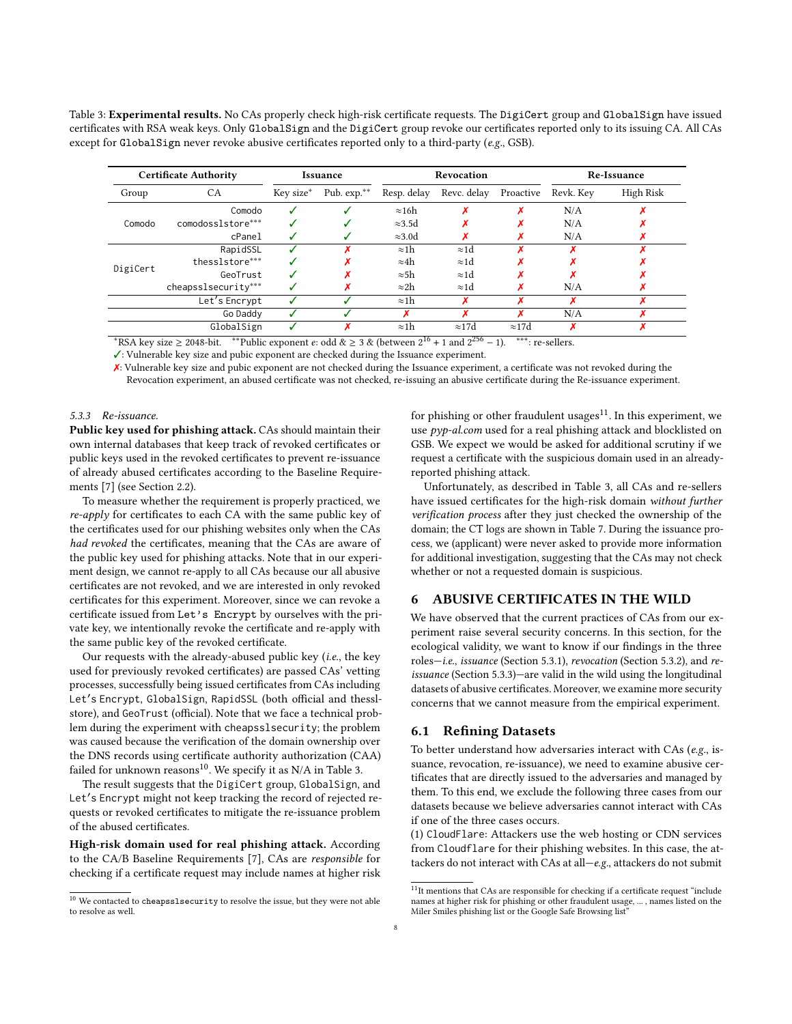<span id="page-7-1"></span>Table 3: Experimental results. No CAs properly check high-risk certificate requests. The DigiCert group and GlobalSign have issued certificates with RSA weak keys. Only GlobalSign and the DigiCert group revoke our certificates reported only to its issuing CA. All CAs except for GlobalSign never revoke abusive certificates reported only to a third-party ( $e.g.,$  GSB).

| <b>Certificate Authority</b> |                     | Issuance  |             | Revocation                      |                                           |               | Re-Issuance |           |
|------------------------------|---------------------|-----------|-------------|---------------------------------|-------------------------------------------|---------------|-------------|-----------|
| Group                        | CA.                 | Key size* | Pub. exp.** | Resp. delay                     | Revc. delay                               | Proactive     | Revk. Kev   | High Risk |
|                              | Comodo              |           |             | $\approx 16h$                   |                                           |               | N/A         |           |
| Comodo                       | comodosslstore***   |           |             | $\approx 3.5d$                  |                                           |               | N/A         |           |
|                              | cPanel              |           |             | $\approx 3.0d$                  |                                           |               | N/A         |           |
|                              | RapidSSL            |           |             | $\approx$ 1h                    | $\approx 1d$                              |               |             |           |
|                              | thesslstore***      |           |             | $\approx 4h$                    | $\approx 1d$                              |               |             |           |
| DigiCert                     | GeoTrust            |           |             | $\approx$ 5h                    | $\approx 1d$                              |               |             |           |
|                              | cheapsslsecurity*** |           |             | $\approx$ 2h                    | $\approx 1d$                              |               | N/A         |           |
|                              | Let's Encrypt       |           |             | $\approx$ 1h                    | x                                         |               |             |           |
|                              | Go Daddy            |           |             |                                 | x                                         |               | N/A         |           |
| GlobalSign                   |                     |           |             | $\approx$ 1h<br>$\overline{16}$ | $\approx$ 17d<br>$\overline{\mathcal{C}}$ | $\approx$ 17d |             |           |

\*RSA key size ≥ 2048-bit. \*\*Public exponent  $e$ : odd  $\&$  ≥ 3  $\&$  (between  $2^{16} + 1$  and  $2^{256} - 1$ ). \*\*\*: re-sellers.

✓: Vulnerable key size and pubic exponent are checked during the Issuance experiment.

✗: Vulnerable key size and pubic exponent are not checked during the Issuance experiment, a certificate was not revoked during the Revocation experiment, an abused certificate was not checked, re-issuing an abusive certificate during the Re-issuance experiment.

#### <span id="page-7-4"></span>5.3.3 Re-issuance.

Public key used for phishing attack. CAs should maintain their own internal databases that keep track of revoked certificates or public keys used in the revoked certificates to prevent re-issuance of already abused certificates according to the Baseline Requirements [\[7\]](#page-11-6) (see [Section 2.2\)](#page-1-1).

To measure whether the requirement is properly practiced, we  $re-apply$  for certificates to each CA with the same public key of the certificates used for our phishing websites only when the CAs had revoked the certificates, meaning that the CAs are aware of the public key used for phishing attacks. Note that in our experiment design, we cannot re-apply to all CAs because our all abusive certificates are not revoked, and we are interested in only revoked certificates for this experiment. Moreover, since we can revoke a certificate issued from Let's Encrypt by ourselves with the private key, we intentionally revoke the certificate and re-apply with the same public key of the revoked certificate.

Our requests with the already-abused public key (i.e., the key used for previously revoked certificates) are passed CAs' vetting processes, successfully being issued certificates from CAs including Let′s Encrypt, GlobalSign, RapidSSL (both official and thesslstore), and GeoTrust (official). Note that we face a technical problem during the experiment with cheapsslsecurity; the problem was caused because the verification of the domain ownership over the DNS records using certificate authority authorization (CAA) failed for unknown reasons<sup>[10](#page-7-2)</sup>. We specify it as  $N/A$  in [Table 3.](#page-7-1)

The result suggests that the DigiCert group, GlobalSign, and Let′s Encrypt might not keep tracking the record of rejected requests or revoked certificates to mitigate the re-issuance problem of the abused certificates.

High-risk domain used for real phishing attack. According to the CA/B Baseline Requirements [\[7\]](#page-11-6), CAs are responsible for checking if a certificate request may include names at higher risk for phishing or other fraudulent usages $11$ . In this experiment, we use pyp-al.com used for a real phishing attack and blocklisted on GSB. We expect we would be asked for additional scrutiny if we request a certificate with the suspicious domain used in an alreadyreported phishing attack.

Unfortunately, as described in [Table 3,](#page-7-1) all CAs and re-sellers have issued certificates for the high-risk domain without further verification process after they just checked the ownership of the domain; the CT logs are shown in [Table 7.](#page-13-4) During the issuance process, we (applicant) were never asked to provide more information for additional investigation, suggesting that the CAs may not check whether or not a requested domain is suspicious.

## <span id="page-7-0"></span>6 ABUSIVE CERTIFICATES IN THE WILD

We have observed that the current practices of CAs from our experiment raise several security concerns. In this section, for the ecological validity, we want to know if our findings in the three roles—i.e., issuance [\(Section 5.3.1\)](#page-6-3), revocation [\(Section 5.3.2\)](#page-6-4), and reissuance [\(Section 5.3.3\)](#page-7-4)—are valid in the wild using the longitudinal datasets of abusive certificates. Moreover, we examine more security concerns that we cannot measure from the empirical experiment.

## 6.1 Refining Datasets

To better understand how adversaries interact with CAs (e.g., issuance, revocation, re-issuance), we need to examine abusive certificates that are directly issued to the adversaries and managed by them. To this end, we exclude the following three cases from our datasets because we believe adversaries cannot interact with CAs if one of the three cases occurs.

(1) CloudFlare: Attackers use the web hosting or CDN services from Cloudflare for their phishing websites. In this case, the attackers do not interact with CAs at all—e.g., attackers do not submit

<span id="page-7-2"></span> $^{\rm 10}$  We contacted to cheapsslse<br>curity to resolve the issue, but they were not able to resolve as well.

<span id="page-7-3"></span> $^{11}{\rm It}$  mentions that CAs are responsible for checking if a certificate request "include names at higher risk for phishing or other fraudulent usage, ... , names listed on the Miler Smiles phishing list or the Google Safe Browsing list"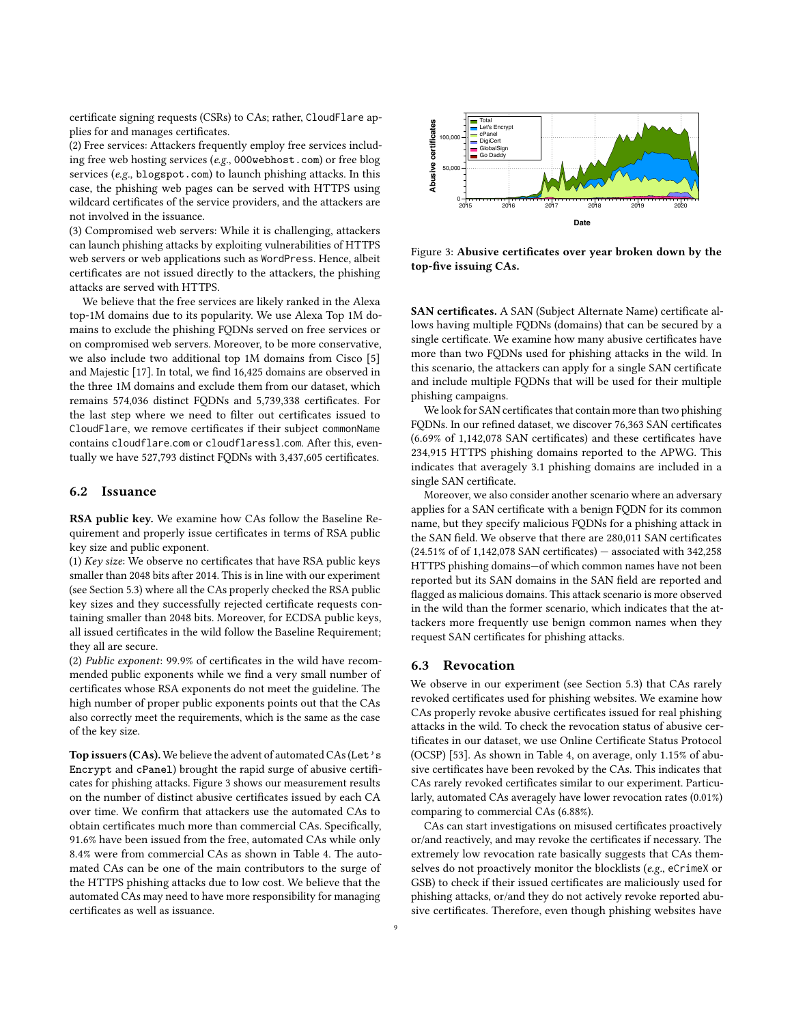certificate signing requests (CSRs) to CAs; rather, CloudFlare applies for and manages certificates.

(2) Free services: Attackers frequently employ free services including free web hosting services (e.g., 000webhost.com) or free blog services (e.g., blogspot.com) to launch phishing attacks. In this case, the phishing web pages can be served with HTTPS using wildcard certificates of the service providers, and the attackers are not involved in the issuance.

(3) Compromised web servers: While it is challenging, attackers can launch phishing attacks by exploiting vulnerabilities of HTTPS web servers or web applications such as WordPress. Hence, albeit certificates are not issued directly to the attackers, the phishing attacks are served with HTTPS.

We believe that the free services are likely ranked in the Alexa top-1M domains due to its popularity. We use Alexa Top 1M domains to exclude the phishing FQDNs served on free services or on compromised web servers. Moreover, to be more conservative, we also include two additional top 1M domains from Cisco [\[5\]](#page-11-27) and Majestic [\[17\]](#page-11-28). In total, we find 16,425 domains are observed in the three 1M domains and exclude them from our dataset, which remains 574,036 distinct FQDNs and 5,739,338 certificates. For the last step where we need to filter out certificates issued to CloudFlare, we remove certificates if their subject commonName contains cloudflare.com or cloudflaressl.com. After this, eventually we have 527,793 distinct FQDNs with 3,437,605 certificates.

### <span id="page-8-0"></span>6.2 Issuance

RSA public key. We examine how CAs follow the Baseline Requirement and properly issue certificates in terms of RSA public key size and public exponent.

(1) Key size: We observe no certificates that have RSA public keys smaller than 2048 bits after 2014. This is in line with our experiment (see [Section 5.3\)](#page-6-5) where all the CAs properly checked the RSA public key sizes and they successfully rejected certificate requests containing smaller than 2048 bits. Moreover, for ECDSA public keys, all issued certificates in the wild follow the Baseline Requirement; they all are secure.

(2) Public exponent: 99.9% of certificates in the wild have recommended public exponents while we find a very small number of certificates whose RSA exponents do not meet the guideline. The high number of proper public exponents points out that the CAs also correctly meet the requirements, which is the same as the case of the key size.

Top issuers (CAs). We believe the advent of automated CAs (Let's Encrypt and cPanel) brought the rapid surge of abusive certificates for phishing attacks. [Figure 3](#page-8-1) shows our measurement results on the number of distinct abusive certificates issued by each CA over time. We confirm that attackers use the automated CAs to obtain certificates much more than commercial CAs. Specifically, 91.6% have been issued from the free, automated CAs while only 8.4% were from commercial CAs as shown in [Table 4.](#page-9-0) The automated CAs can be one of the main contributors to the surge of the HTTPS phishing attacks due to low cost. We believe that the automated CAs may need to have more responsibility for managing certificates as well as issuance.

<span id="page-8-1"></span>

Figure 3: Abusive certificates over year broken down by the top-five issuing CAs.

SAN certificates. A SAN (Subject Alternate Name) certificate allows having multiple FQDNs (domains) that can be secured by a single certificate. We examine how many abusive certificates have more than two FQDNs used for phishing attacks in the wild. In this scenario, the attackers can apply for a single SAN certificate and include multiple FQDNs that will be used for their multiple phishing campaigns.

We look for SAN certificates that contain more than two phishing FQDNs. In our refined dataset, we discover 76,363 SAN certificates (6.69% of 1,142,078 SAN certificates) and these certificates have 234,915 HTTPS phishing domains reported to the APWG. This indicates that averagely 3.1 phishing domains are included in a single SAN certificate.

Moreover, we also consider another scenario where an adversary applies for a SAN certificate with a benign FQDN for its common name, but they specify malicious FQDNs for a phishing attack in the SAN field. We observe that there are 280,011 SAN certificates  $(24.51\% \text{ of } 1,142,078 \text{ SAN certificates}) -$  associated with 342,258 HTTPS phishing domains—of which common names have not been reported but its SAN domains in the SAN field are reported and flagged as malicious domains. This attack scenario is more observed in the wild than the former scenario, which indicates that the attackers more frequently use benign common names when they request SAN certificates for phishing attacks.

## 6.3 Revocation

We observe in our experiment (see [Section 5.3\)](#page-6-5) that CAs rarely revoked certificates used for phishing websites. We examine how CAs properly revoke abusive certificates issued for real phishing attacks in the wild. To check the revocation status of abusive certificates in our dataset, we use Online Certificate Status Protocol (OCSP) [\[53\]](#page-12-19). As shown in [Table 4,](#page-9-0) on average, only 1.15% of abusive certificates have been revoked by the CAs. This indicates that CAs rarely revoked certificates similar to our experiment. Particularly, automated CAs averagely have lower revocation rates (0.01%) comparing to commercial CAs (6.88%).

CAs can start investigations on misused certificates proactively or/and reactively, and may revoke the certificates if necessary. The extremely low revocation rate basically suggests that CAs themselves do not proactively monitor the blocklists (e.g., eCrimeX or GSB) to check if their issued certificates are maliciously used for phishing attacks, or/and they do not actively revoke reported abusive certificates. Therefore, even though phishing websites have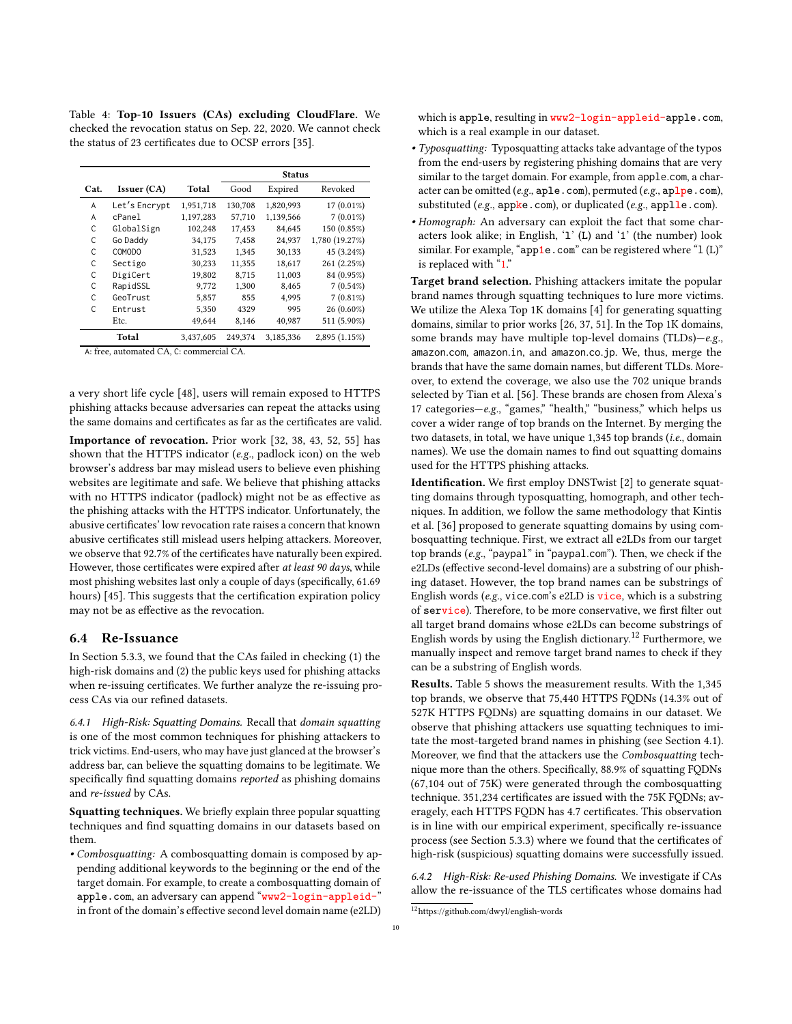<span id="page-9-0"></span>Table 4: Top-10 Issuers (CAs) excluding CloudFlare. We checked the revocation status on Sep. 22, 2020. We cannot check the status of 23 certificates due to OCSP errors [\[35\]](#page-11-29).

|      |               |           | <b>Status</b> |           |                |
|------|---------------|-----------|---------------|-----------|----------------|
| Cat. | Issuer (CA)   | Total     | Good          | Expired   | Revoked        |
| A    | Let's Encrypt | 1,951,718 | 130,708       | 1,820,993 | $17(0.01\%)$   |
| A    | cPanel        | 1,197,283 | 57,710        | 1,139,566 | $7(0.01\%)$    |
| C    | GlobalSign    | 102,248   | 17,453        | 84,645    | 150 (0.85%)    |
| C    | Go Daddy      | 34,175    | 7,458         | 24,937    | 1,780 (19.27%) |
| C    | COMODO        | 31,523    | 1,345         | 30,133    | 45 (3.24%)     |
| C    | Sectigo       | 30,233    | 11,355        | 18,617    | 261 (2.25%)    |
| C    | DigiCert      | 19,802    | 8,715         | 11,003    | 84 (0.95%)     |
| C    | RapidSSL      | 9.772     | 1,300         | 8.465     | $7(0.54\%)$    |
| C    | GeoTrust      | 5,857     | 855           | 4,995     | $7(0.81\%)$    |
| C    | Entrust       | 5,350     | 4329          | 995       | 26 (0.60%)     |
|      | Etc.          | 49,644    | 8,146         | 40,987    | 511 (5.90%)    |
|      | Total         | 3,437,605 | 249,374       | 3,185,336 | 2,895(1.15%)   |

A: free, automated CA, C: commercial CA.

a very short life cycle [\[48\]](#page-12-16), users will remain exposed to HTTPS phishing attacks because adversaries can repeat the attacks using the same domains and certificates as far as the certificates are valid.

Importance of revocation. Prior work [\[32,](#page-11-19) [38,](#page-12-3) [43,](#page-12-4) [52,](#page-12-5) [55\]](#page-12-6) has shown that the HTTPS indicator (e.g., padlock icon) on the web browser's address bar may mislead users to believe even phishing websites are legitimate and safe. We believe that phishing attacks with no HTTPS indicator (padlock) might not be as effective as the phishing attacks with the HTTPS indicator. Unfortunately, the abusive certificates' low revocation rate raises a concern that known abusive certificates still mislead users helping attackers. Moreover, we observe that 92.7% of the certificates have naturally been expired. However, those certificates were expired after at least 90 days, while most phishing websites last only a couple of days (specifically, 61.69 hours) [\[45\]](#page-12-20). This suggests that the certification expiration policy may not be as effective as the revocation.

## 6.4 Re-Issuance

In [Section 5.3.3,](#page-7-4) we found that the CAs failed in checking (1) the high-risk domains and (2) the public keys used for phishing attacks when re-issuing certificates. We further analyze the re-issuing process CAs via our refined datasets.

6.4.1 High-Risk: Squatting Domains. Recall that domain squatting is one of the most common techniques for phishing attackers to trick victims. End-users, who may have just glanced at the browser's address bar, can believe the squatting domains to be legitimate. We specifically find squatting domains reported as phishing domains and re-issued by CAs.

Squatting techniques. We briefly explain three popular squatting techniques and find squatting domains in our datasets based on them.

• Combosquatting: A combosquatting domain is composed by appending additional keywords to the beginning or the end of the target domain. For example, to create a combosquatting domain of apple.com, an adversary can append "www2-login-appleid-" in front of the domain's effective second level domain name (e2LD) which is apple, resulting in www2-login-appleid-apple.com, which is a real example in our dataset.

- Typosquatting: Typosquatting attacks take advantage of the typos from the end-users by registering phishing domains that are very similar to the target domain. For example, from apple.com, a character can be omitted (e.g.,  $aple.com$ ), permuted (e.g.,  $aplpe.com$ ), substituted (e.g., appke.com), or duplicated (e.g., applle.com).
- Homograph: An adversary can exploit the fact that some characters look alike; in English, 'l' (L) and '1' (the number) look similar. For example, "app1e.com" can be registered where "1 (L)" is replaced with "1."

Target brand selection. Phishing attackers imitate the popular brand names through squatting techniques to lure more victims. We utilize the Alexa Top 1K domains [\[4\]](#page-11-30) for generating squatting domains, similar to prior works [\[26,](#page-11-31) [37,](#page-12-21) [51\]](#page-12-9). In the Top 1K domains, some brands may have multiple top-level domains (TLDs)-e.g., amazon.com, amazon.in, and amazon.co.jp. We, thus, merge the brands that have the same domain names, but different TLDs. Moreover, to extend the coverage, we also use the 702 unique brands selected by Tian et al. [\[56\]](#page-12-10). These brands are chosen from Alexa's 17 categories—e.g., "games," "health," "business," which helps us cover a wider range of top brands on the Internet. By merging the two datasets, in total, we have unique 1,345 top brands (i.e., domain names). We use the domain names to find out squatting domains used for the HTTPS phishing attacks.

Identification. We first employ DNSTwist [\[2\]](#page-11-32) to generate squatting domains through typosquatting, homograph, and other techniques. In addition, we follow the same methodology that Kintis et al. [\[36\]](#page-12-7) proposed to generate squatting domains by using combosquatting technique. First, we extract all e2LDs from our target top brands (e.g., "paypal" in "paypal.com"). Then, we check if the e2LDs (effective second-level domains) are a substring of our phishing dataset. However, the top brand names can be substrings of English words (e.g., vice.com's e2LD is  $\overline{vice}$ , which is a substring of service). Therefore, to be more conservative, we first filter out all target brand domains whose e2LDs can become substrings of English words by using the English dictionary.<sup>[12](#page-9-1)</sup> Furthermore, we manually inspect and remove target brand names to check if they can be a substring of English words.

Results. [Table 5](#page-10-0) shows the measurement results. With the 1,345 top brands, we observe that 75,440 HTTPS FQDNs (14.3% out of 527K HTTPS FQDNs) are squatting domains in our dataset. We observe that phishing attackers use squatting techniques to imitate the most-targeted brand names in phishing (see [Section 4.1\)](#page-3-1). Moreover, we find that the attackers use the Combosquatting technique more than the others. Specifically, 88.9% of squatting FQDNs (67,104 out of 75K) were generated through the combosquatting technique. 351,234 certificates are issued with the 75K FQDNs; averagely, each HTTPS FQDN has 4.7 certificates. This observation is in line with our empirical experiment, specifically re-issuance process (see [Section 5.3.3\)](#page-7-4) where we found that the certificates of high-risk (suspicious) squatting domains were successfully issued.

6.4.2 High-Risk: Re-used Phishing Domains. We investigate if CAs allow the re-issuance of the TLS certificates whose domains had

<span id="page-9-1"></span><sup>12</sup>https://github.com/dwyl/english-words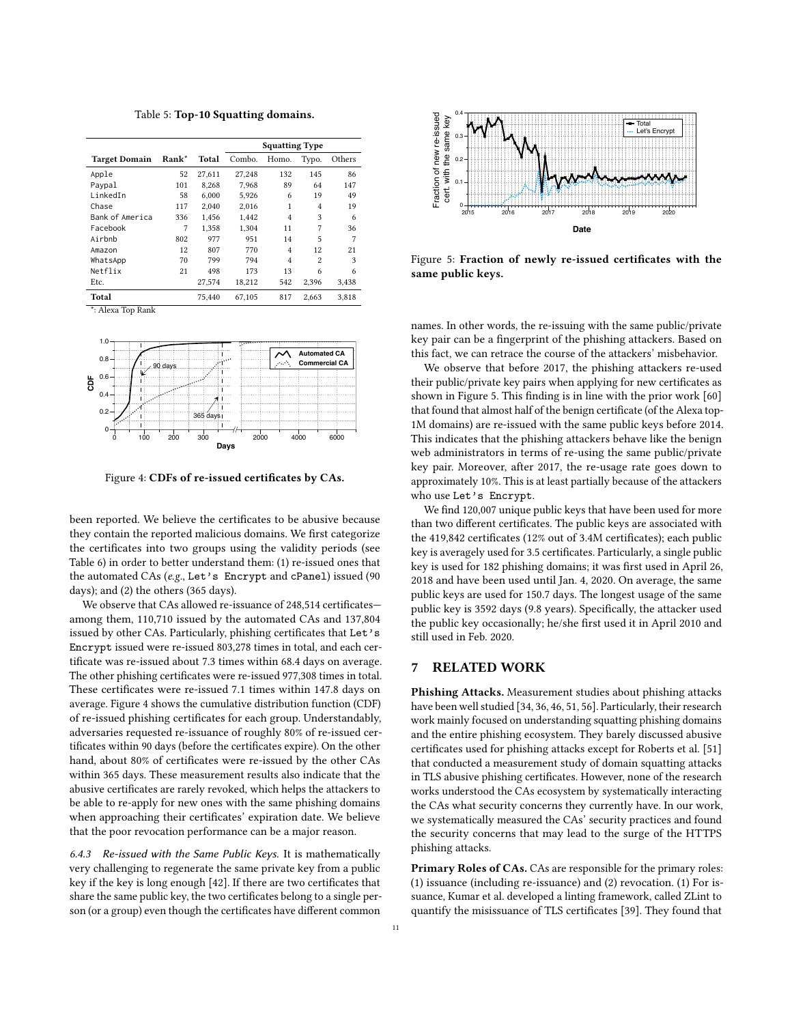Table 5: Top-10 Squatting domains.

<span id="page-10-0"></span>

|                      |       |        | <b>Squatting Type</b> |       |                |        |
|----------------------|-------|--------|-----------------------|-------|----------------|--------|
| <b>Target Domain</b> | Rank* | Total  | Combo.                | Homo. | Typo.          | Others |
| Apple                | 52    | 27.611 | 27.248                | 132   | 145            | 86     |
| Paypal               | 101   | 8.268  | 7.968                 | 89    | 64             | 147    |
| LinkedIn             | 58    | 6.000  | 5.926                 | 6     | 19             | 49     |
| Chase                | 117   | 2.040  | 2.016                 | 1     | 4              | 19     |
| Bank of America      | 336   | 1.456  | 1.442                 | 4     | 3              | 6      |
| Facebook             | 7     | 1.358  | 1.304                 | 11    | 7              | 36     |
| Airbnb               | 802   | 977    | 951                   | 14    | 5              | 7      |
| Amazon               | 12    | 807    | 770                   | 4     | 12             | 21     |
| WhatsApp             | 70    | 799    | 794                   | 4     | $\overline{c}$ | 3      |
| Netflix              | 21    | 498    | 173                   | 13    | 6              | 6      |
| Etc.                 |       | 27,574 | 18,212                | 542   | 2,396          | 3,438  |
| Total                |       | 75.440 | 67.105                | 817   | 2.663          | 3.818  |

\*: Alexa Top Rank

<span id="page-10-1"></span>

Figure 4: CDFs of re-issued certificates by CAs.

been reported. We believe the certificates to be abusive because they contain the reported malicious domains. We first categorize the certificates into two groups using the validity periods (see [Table 6\)](#page-13-2) in order to better understand them: (1) re-issued ones that the automated CAs (e.g., Let's Encrypt and cPanel) issued (90 days); and (2) the others (365 days).

We observe that CAs allowed re-issuance of 248,514 certificates among them, 110,710 issued by the automated CAs and 137,804 issued by other CAs. Particularly, phishing certificates that Let's Encrypt issued were re-issued 803,278 times in total, and each certificate was re-issued about 7.3 times within 68.4 days on average. The other phishing certificates were re-issued 977,308 times in total. These certificates were re-issued 7.1 times within 147.8 days on average. [Figure 4](#page-10-1) shows the cumulative distribution function (CDF) of re-issued phishing certificates for each group. Understandably, adversaries requested re-issuance of roughly 80% of re-issued certificates within 90 days (before the certificates expire). On the other hand, about 80% of certificates were re-issued by the other CAs within 365 days. These measurement results also indicate that the abusive certificates are rarely revoked, which helps the attackers to be able to re-apply for new ones with the same phishing domains when approaching their certificates' expiration date. We believe that the poor revocation performance can be a major reason.

6.4.3 Re-issued with the Same Public Keys. It is mathematically very challenging to regenerate the same private key from a public key if the key is long enough [\[42\]](#page-12-22). If there are two certificates that share the same public key, the two certificates belong to a single person (or a group) even though the certificates have different common

<span id="page-10-2"></span>

Figure 5: Fraction of newly re-issued certificates with the same public keys.

names. In other words, the re-issuing with the same public/private key pair can be a fingerprint of the phishing attackers. Based on this fact, we can retrace the course of the attackers' misbehavior.

We observe that before 2017, the phishing attackers re-used their public/private key pairs when applying for new certificates as shown in [Figure 5.](#page-10-2) This finding is in line with the prior work [\[60\]](#page-12-23) that found that almost half of the benign certificate (of the Alexa top-1M domains) are re-issued with the same public keys before 2014. This indicates that the phishing attackers behave like the benign web administrators in terms of re-using the same public/private key pair. Moreover, after 2017, the re-usage rate goes down to approximately 10%. This is at least partially because of the attackers who use Let's Encrypt.

We find 120,007 unique public keys that have been used for more than two different certificates. The public keys are associated with the 419,842 certificates (12% out of 3.4M certificates); each public key is averagely used for 3.5 certificates. Particularly, a single public key is used for 182 phishing domains; it was first used in April 26, 2018 and have been used until Jan. 4, 2020. On average, the same public keys are used for 150.7 days. The longest usage of the same public key is 3592 days (9.8 years). Specifically, the attacker used the public key occasionally; he/she first used it in April 2010 and still used in Feb. 2020.

## 7 RELATED WORK

Phishing Attacks. Measurement studies about phishing attacks have been well studied [\[34,](#page-11-5) [36,](#page-12-7) [46,](#page-12-8) [51,](#page-12-9) [56\]](#page-12-10). Particularly, their research work mainly focused on understanding squatting phishing domains and the entire phishing ecosystem. They barely discussed abusive certificates used for phishing attacks except for Roberts et al. [\[51\]](#page-12-9) that conducted a measurement study of domain squatting attacks in TLS abusive phishing certificates. However, none of the research works understood the CAs ecosystem by systematically interacting the CAs what security concerns they currently have. In our work, we systematically measured the CAs' security practices and found the security concerns that may lead to the surge of the HTTPS phishing attacks.

Primary Roles of CAs. CAs are responsible for the primary roles: (1) issuance (including re-issuance) and (2) revocation. (1) For issuance, Kumar et al. developed a linting framework, called ZLint to quantify the misissuance of TLS certificates [\[39\]](#page-12-24). They found that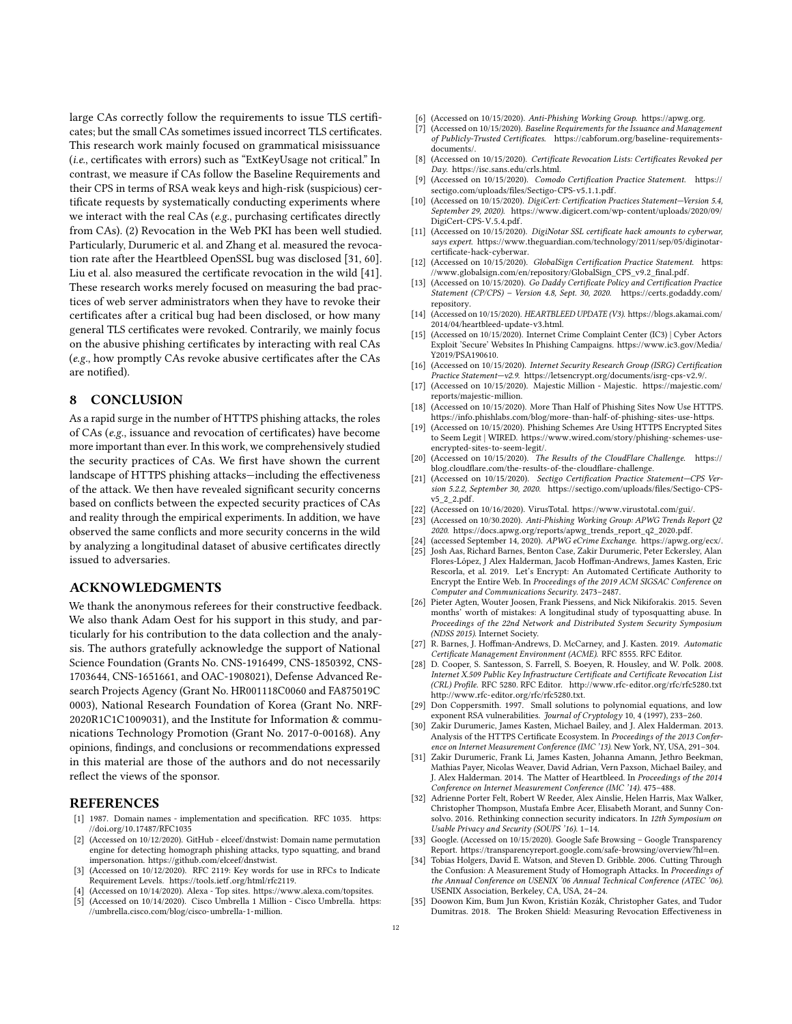large CAs correctly follow the requirements to issue TLS certificates; but the small CAs sometimes issued incorrect TLS certificates. This research work mainly focused on grammatical misissuance (i.e., certificates with errors) such as "ExtKeyUsage not critical." In contrast, we measure if CAs follow the Baseline Requirements and their CPS in terms of RSA weak keys and high-risk (suspicious) certificate requests by systematically conducting experiments where we interact with the real CAs (e.g., purchasing certificates directly from CAs). (2) Revocation in the Web PKI has been well studied. Particularly, Durumeric et al. and Zhang et al. measured the revocation rate after the Heartbleed OpenSSL bug was disclosed [\[31,](#page-11-33) [60\]](#page-12-23). Liu et al. also measured the certificate revocation in the wild [\[41\]](#page-12-25). These research works merely focused on measuring the bad practices of web server administrators when they have to revoke their certificates after a critical bug had been disclosed, or how many general TLS certificates were revoked. Contrarily, we mainly focus on the abusive phishing certificates by interacting with real CAs (e.g., how promptly CAs revoke abusive certificates after the CAs are notified).

## 8 CONCLUSION

As a rapid surge in the number of HTTPS phishing attacks, the roles of CAs (e.g., issuance and revocation of certificates) have become more important than ever. In this work, we comprehensively studied the security practices of CAs. We first have shown the current landscape of HTTPS phishing attacks—including the effectiveness of the attack. We then have revealed significant security concerns based on conflicts between the expected security practices of CAs and reality through the empirical experiments. In addition, we have observed the same conflicts and more security concerns in the wild by analyzing a longitudinal dataset of abusive certificates directly issued to adversaries.

## ACKNOWLEDGMENTS

We thank the anonymous referees for their constructive feedback. We also thank Adam Oest for his support in this study, and particularly for his contribution to the data collection and the analysis. The authors gratefully acknowledge the support of National Science Foundation (Grants No. CNS-1916499, CNS-1850392, CNS-1703644, CNS-1651661, and OAC-1908021), Defense Advanced Research Projects Agency (Grant No. HR001118C0060 and FA875019C 0003), National Research Foundation of Korea (Grant No. NRF-2020R1C1C1009031), and the Institute for Information & communications Technology Promotion (Grant No. 2017-0-00168). Any opinions, findings, and conclusions or recommendations expressed in this material are those of the authors and do not necessarily reflect the views of the sponsor.

# **REFERENCES**

- <span id="page-11-18"></span>[1] 1987. Domain names - implementation and specification. RFC 1035. [https:](https://doi.org/10.17487/RFC1035) //doi.org/10.[17487/RFC1035](https://doi.org/10.17487/RFC1035)
- <span id="page-11-32"></span>[2] (Accessed on 10/12/2020). GitHub - elceef/dnstwist: Domain name permutation engine for detecting homograph phishing attacks, typo squatting, and brand impersonation. https://github.[com/elceef/dnstwist.](https://github.com/elceef/dnstwist)
- <span id="page-11-13"></span>[3] (Accessed on 10/12/2020). RFC 2119: Key words for use in RFCs to Indicate Requirement Levels. https://tools.ietf.[org/html/rfc2119.](https://tools.ietf.org/html/rfc2119)
- <span id="page-11-30"></span><span id="page-11-27"></span>[4] (Accessed on 10/14/2020). Alexa - Top sites. [https://www](https://www.alexa.com/topsites).alexa.com/topsites. [5] (Accessed on 10/14/2020). Cisco Umbrella 1 Million - Cisco Umbrella. [https:](https://umbrella.cisco.com/blog/cisco-umbrella-1-million)
- //umbrella.cisco.[com/blog/cisco-umbrella-1-million.](https://umbrella.cisco.com/blog/cisco-umbrella-1-million)
- <span id="page-11-17"></span>[6] (Accessed on 10/15/2020). Anti-Phishing Working Group. [https://apwg](https://apwg.org).org.
- <span id="page-11-6"></span>(Accessed on 10/15/2020). Baseline Requirements for the Issuance and Management of Publicly-Trusted Certificates. https://cabforum.[org/baseline-requirements](https://cabforum.org/baseline-requirements-documents/)[documents/.](https://cabforum.org/baseline-requirements-documents/)
- <span id="page-11-22"></span>[8] (Accessed on 10/15/2020). Certificate Revocation Lists: Certificates Revoked per Day. [https://isc](https://isc.sans.edu/crls.html).sans.edu/crls.html.
- <span id="page-11-34"></span>[9] (Accessed on 10/15/2020). Comodo Certification Practice Statement. [https://](https://sectigo.com/uploads/files/Sectigo-CPS-v5.1.1.pdf) sectigo.[com/uploads/files/Sectigo-CPS-v5](https://sectigo.com/uploads/files/Sectigo-CPS-v5.1.1.pdf).1.1.pdf.
- <span id="page-11-8"></span>[10] (Accessed on 10/15/2020). DigiCert: Certification Practices Statement—Version 5.4, September 29, 2020). https://www.digicert.[com/wp-content/uploads/2020/09/](https://www.digicert.com/wp-content/uploads/2020/09/DigiCert-CPS-V.5.4.pdf) [DigiCert-CPS-V](https://www.digicert.com/wp-content/uploads/2020/09/DigiCert-CPS-V.5.4.pdf).5.4.pdf.
- <span id="page-11-4"></span>[11] (Accessed on 10/15/2020). DigiNotar SSL certificate hack amounts to cyberwar, says expert. https://www.theguardian.[com/technology/2011/sep/05/diginotar](https://www.theguardian.com/technology/2011/sep/05/diginotar-certificate-hack-cyberwar)[certificate-hack-cyberwar.](https://www.theguardian.com/technology/2011/sep/05/diginotar-certificate-hack-cyberwar)
- <span id="page-11-9"></span>[12] (Accessed on 10/15/2020). GlobalSign Certification Practice Statement. [https:](https://www.globalsign.com/en/repository/GlobalSign_CPS_v9.2_final.pdf) //www.globalsign.[com/en/repository/GlobalSign\\_CPS\\_v9](https://www.globalsign.com/en/repository/GlobalSign_CPS_v9.2_final.pdf).2\_final.pdf.
- <span id="page-11-10"></span>[13] (Accessed on 10/15/2020). Go Daddy Certificate Policy and Certification Practice Statement (CP/CPS) – Version 4.8, Sept. 30, 2020. [https://certs](https://certs.godaddy.com/repository).godaddy.com/ [repository.](https://certs.godaddy.com/repository)
- <span id="page-11-14"></span>[14] (Accessed on 10/15/2020). HEARTBLEED UPDATE (V3). [https://blogs](https://blogs.akamai.com/2014/04/heartbleed-update-v3.html).akamai.com/ [2014/04/heartbleed-update-v3](https://blogs.akamai.com/2014/04/heartbleed-update-v3.html).html.
- <span id="page-11-20"></span>[15] (Accessed on 10/15/2020). Internet Crime Complaint Center (IC3) | Cyber Actors Exploit 'Secure' Websites In Phishing Campaigns. [https://www](https://www.ic3.gov/Media/Y2019/PSA190610).ic3.gov/Media/ [Y2019/PSA190610.](https://www.ic3.gov/Media/Y2019/PSA190610)
- <span id="page-11-11"></span>[16] (Accessed on 10/15/2020). Internet Security Research Group (ISRG) Certification Practice Statement—v2.9. https://letsencrypt.[org/documents/isrg-cps-v2](https://letsencrypt.org/documents/isrg-cps-v2.9/).9/.
- <span id="page-11-28"></span>[17] (Accessed on 10/15/2020). Majestic Million - Majestic. [https://majestic](https://majestic.com/reports/majestic-million).com/ [reports/majestic-million.](https://majestic.com/reports/majestic-million)
- <span id="page-11-2"></span>[18] (Accessed on 10/15/2020). More Than Half of Phishing Sites Now Use HTTPS. https://info.phishlabs.[com/blog/more-than-half-of-phishing-sites-use-https.](https://info.phishlabs.com/blog/more-than-half-of-phishing-sites-use-https)
- <span id="page-11-3"></span>[19] (Accessed on 10/15/2020). Phishing Schemes Are Using HTTPS Encrypted Sites to Seem Legit | WIRED. https://www.wired.[com/story/phishing-schemes-use](https://www.wired.com/story/phishing-schemes-use-encrypted-sites-to-seem-legit/)[encrypted-sites-to-seem-legit/.](https://www.wired.com/story/phishing-schemes-use-encrypted-sites-to-seem-legit/)
- <span id="page-11-15"></span>[20] (Accessed on 10/15/2020). The Results of the CloudFlare Challenge. [https://](https://blog.cloudflare.com/the-results-of-the-cloudflare-challenge) blog.cloudflare.[com/the-results-of-the-cloudflare-challenge.](https://blog.cloudflare.com/the-results-of-the-cloudflare-challenge)
- <span id="page-11-12"></span>[21] (Accessed on 10/15/2020). Sectigo Certification Practice Statement—CPS Version 5.2.2, September 30, 2020. https://sectigo.[com/uploads/files/Sectigo-CPS](https://sectigo.com/uploads/files/Sectigo-CPS-v5_2_2.pdf)[v5\\_2\\_2](https://sectigo.com/uploads/files/Sectigo-CPS-v5_2_2.pdf).pdf.
- <span id="page-11-26"></span>[22] (Accessed on 10/16/2020). VirusTotal. [https://www](https://www.virustotal.com/gui/).virustotal.com/gui/.<br>[23] (Accessed on 10/30.2020). Anti-Phishing Working Group: APWG Trends Re
- <span id="page-11-1"></span>(Accessed on 10/30.2020). Anti-Phishing Working Group: APWG Trends Report Q2 2020. https://docs.apwg.[org/reports/apwg\\_trends\\_report\\_q2\\_2020](https://docs.apwg.org/reports/apwg_trends_report_q2_2020.pdf).pdf.
- <span id="page-11-21"></span><span id="page-11-16"></span>[24] (accessed September 14, 2020). APWG eCrime Exchange. [https://apwg](https://apwg.org/ecx/).org/ecx/.<br>[25] Josh Aas. Richard Barnes. Benton Case. Zakir Durumeric. Peter Eckerslev. Alan [25] Josh Aas, Richard Barnes, Benton Case, Zakir Durumeric, Peter Eckersley, Alan Flores-López, J Alex Halderman, Jacob Hoffman-Andrews, James Kasten, Eric Rescorla, et al. 2019. Let's Encrypt: An Automated Certificate Authority to Encrypt the Entire Web. In Proceedings of the 2019 ACM SIGSAC Conference on Computer and Communications Security. 2473–2487.
- <span id="page-11-31"></span>[26] Pieter Agten, Wouter Joosen, Frank Piessens, and Nick Nikiforakis. 2015. Seven months' worth of mistakes: A longitudinal study of typosquatting abuse. In Proceedings of the 22nd Network and Distributed System Security Symposium (NDSS 2015). Internet Society.
- <span id="page-11-7"></span>[27] R. Barnes, J. Hoffman-Andrews, D. McCarney, and J. Kasten. 2019. Automatic Certificate Management Environment (ACME). RFC 8555. RFC Editor.
- <span id="page-11-23"></span>[28] D. Cooper, S. Santesson, S. Farrell, S. Boeyen, R. Housley, and W. Polk. 2008. Internet X.509 Public Key Infrastructure Certificate and Certificate Revocation List (CRL) Profile. RFC 5280. RFC Editor. http://www.rfc-editor.[org/rfc/rfc5280](http://www.rfc-editor.org/rfc/rfc5280.txt).txt http://www.rfc-editor.[org/rfc/rfc5280](http://www.rfc-editor.org/rfc/rfc5280.txt).txt.
- <span id="page-11-24"></span>[29] Don Coppersmith. 1997. Small solutions to polynomial equations, and low exponent RSA vulnerabilities. Journal of Cryptology 10, 4 (1997), 233-260.
- <span id="page-11-25"></span>[30] Zakir Durumeric, James Kasten, Michael Bailey, and J. Alex Halderman. 2013. Analysis of the HTTPS Certificate Ecosystem. In Proceedings of the 2013 Conference on Internet Measurement Conference (IMC '13). New York, NY, USA, 291–304.
- <span id="page-11-33"></span>[31] Zakir Durumeric, Frank Li, James Kasten, Johanna Amann, Jethro Beekman, Mathias Payer, Nicolas Weaver, David Adrian, Vern Paxson, Michael Bailey, and J. Alex Halderman. 2014. The Matter of Heartbleed. In Proceedings of the 2014 Conference on Internet Measurement Conference (IMC '14). 475–488.
- <span id="page-11-19"></span>[32] Adrienne Porter Felt, Robert W Reeder, Alex Ainslie, Helen Harris, Max Walker, Christopher Thompson, Mustafa Embre Acer, Elisabeth Morant, and Sunny Consolvo. 2016. Rethinking connection security indicators. In 12th Symposium on Usable Privacy and Security (SOUPS '16). 1–14.
- <span id="page-11-0"></span>[33] Google. (Accessed on 10/15/2020). Google Safe Browsing – Google Transparency Report. https://transparencyreport.google.[com/safe-browsing/overview?hl](https://transparencyreport.google.com/safe-browsing/overview?hl=en)=en.
- <span id="page-11-5"></span>[34] Tobias Holgers, David E. Watson, and Steven D. Gribble. 2006. Cutting Through the Confusion: A Measurement Study of Homograph Attacks. In Proceedings of the Annual Conference on USENIX '06 Annual Technical Conference (ATEC '06). USENIX Association, Berkeley, CA, USA, 24–24.
- <span id="page-11-29"></span>[35] Doowon Kim, Bum Jun Kwon, Kristián Kozák, Christopher Gates, and Tudor Dumitras. 2018. The Broken Shield: Measuring Revocation Effectiveness in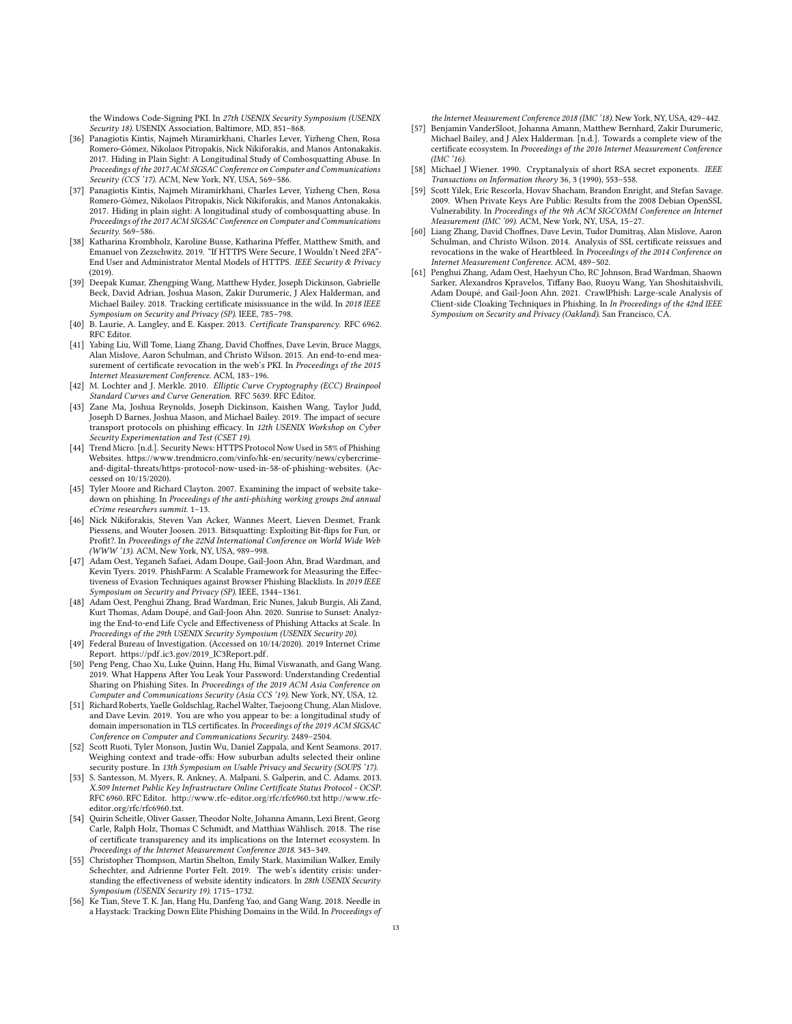the Windows Code-Signing PKI. In 27th USENIX Security Symposium (USENIX Security 18). USENIX Association, Baltimore, MD, 851–868.

- <span id="page-12-7"></span>[36] Panagiotis Kintis, Najmeh Miramirkhani, Charles Lever, Yizheng Chen, Rosa Romero-Gómez, Nikolaos Pitropakis, Nick Nikiforakis, and Manos Antonakakis. 2017. Hiding in Plain Sight: A Longitudinal Study of Combosquatting Abuse. In Proceedings of the 2017 ACM SIGSAC Conference on Computer and Communications Security (CCS '17). ACM, New York, NY, USA, 569–586.
- <span id="page-12-21"></span>[37] Panagiotis Kintis, Najmeh Miramirkhani, Charles Lever, Yizheng Chen, Rosa Romero-Gómez, Nikolaos Pitropakis, Nick Nikiforakis, and Manos Antonakakis. 2017. Hiding in plain sight: A longitudinal study of combosquatting abuse. In Proceedings of the 2017 ACM SIGSAC Conference on Computer and Communications Security. 569–586.
- <span id="page-12-3"></span>[38] Katharina Krombholz, Karoline Busse, Katharina Pfeffer, Matthew Smith, and Emanuel von Zezschwitz. 2019. "If HTTPS Were Secure, I Wouldn't Need 2FA"- End User and Administrator Mental Models of HTTPS. IEEE Security & Privacy (2019).
- <span id="page-12-24"></span>[39] Deepak Kumar, Zhengping Wang, Matthew Hyder, Joseph Dickinson, Gabrielle Beck, David Adrian, Joshua Mason, Zakir Durumeric, J Alex Halderman, and Michael Bailey. 2018. Tracking certificate misissuance in the wild. In 2018 IEEE Symposium on Security and Privacy (SP). IEEE, 785–798.
- <span id="page-12-13"></span>[40] B. Laurie, A. Langley, and E. Kasper. 2013. Certificate Transparency. RFC 6962. RFC Editor.
- <span id="page-12-25"></span>[41] Yabing Liu, Will Tome, Liang Zhang, David Choffnes, Dave Levin, Bruce Maggs, Alan Mislove, Aaron Schulman, and Christo Wilson. 2015. An end-to-end measurement of certificate revocation in the web's PKI. In Proceedings of the 2015 Internet Measurement Conference. ACM, 183–196.
- <span id="page-12-22"></span>[42] M. Lochter and J. Merkle. 2010. Elliptic Curve Cryptography (ECC) Brainpool Standard Curves and Curve Generation. RFC 5639. RFC Editor.
- <span id="page-12-4"></span>[43] Zane Ma, Joshua Reynolds, Joseph Dickinson, Kaishen Wang, Taylor Judd, Joseph D Barnes, Joshua Mason, and Michael Bailey. 2019. The impact of secure transport protocols on phishing efficacy. In 12th USENIX Workshop on Cyber Security Experimentation and Test (CSET 19).
- <span id="page-12-2"></span>[44] Trend Micro. [n.d.]. Security News: HTTPS Protocol Now Used in 58% of Phishing Websites. https://www.trendmicro.[com/vinfo/hk-en/security/news/cybercrime](https://www.trendmicro.com/vinfo/hk-en/security/news/cybercrime-and-digital-threats/https-protocol-now-used-in-58-of-phishing-websites)[and-digital-threats/https-protocol-now-used-in-58-of-phishing-websites.](https://www.trendmicro.com/vinfo/hk-en/security/news/cybercrime-and-digital-threats/https-protocol-now-used-in-58-of-phishing-websites) (Accessed on 10/15/2020).
- <span id="page-12-20"></span>[45] Tyler Moore and Richard Clayton. 2007. Examining the impact of website takedown on phishing. In Proceedings of the anti-phishing working groups 2nd annual eCrime researchers summit. 1–13.
- <span id="page-12-8"></span>[46] Nick Nikiforakis, Steven Van Acker, Wannes Meert, Lieven Desmet, Frank Piessens, and Wouter Joosen. 2013. Bitsquatting: Exploiting Bit-flips for Fun, or Profit?. In Proceedings of the 22Nd International Conference on World Wide Web (WWW '13). ACM, New York, NY, USA, 989–998.
- <span id="page-12-17"></span>[47] Adam Oest, Yeganeh Safaei, Adam Doupe, Gail-Joon Ahn, Brad Wardman, and Kevin Tyers. 2019. PhishFarm: A Scalable Framework for Measuring the Effectiveness of Evasion Techniques against Browser Phishing Blacklists. In 2019 IEEE Symposium on Security and Privacy (SP). IEEE, 1344–1361.
- <span id="page-12-16"></span>[48] Adam Oest, Penghui Zhang, Brad Wardman, Eric Nunes, Jakub Burgis, Ali Zand, Kurt Thomas, Adam Doupé, and Gail-Joon Ahn. 2020. Sunrise to Sunset: Analyzing the End-to-end Life Cycle and Effectiveness of Phishing Attacks at Scale. In Proceedings of the 29th USENIX Security Symposium (USENIX Security 20).
- <span id="page-12-0"></span>[49] Federal Bureau of Investigation. (Accessed on 10/14/2020). 2019 Internet Crime Report. https://pdf.ic3.[gov/2019\\_IC3Report](https://pdf.ic3.gov/2019_IC3Report.pdf).pdf.
- <span id="page-12-12"></span>[50] Peng Peng, Chao Xu, Luke Quinn, Hang Hu, Bimal Viswanath, and Gang Wang. 2019. What Happens After You Leak Your Password: Understanding Credential Sharing on Phishing Sites. In Proceedings of the 2019 ACM Asia Conference on Computer and Communications Security (Asia CCS '19). New York, NY, USA, 12.
- <span id="page-12-9"></span>[51] Richard Roberts, Yaelle Goldschlag, Rachel Walter, Taejoong Chung, Alan Mislove, and Dave Levin. 2019. You are who you appear to be: a longitudinal study of domain impersonation in TLS certificates. In Proceedings of the 2019 ACM SIGSAC Conference on Computer and Communications Security. 2489–2504.
- <span id="page-12-5"></span>[52] Scott Ruoti, Tyler Monson, Justin Wu, Daniel Zappala, and Kent Seamons. 2017. Weighing context and trade-offs: How suburban adults selected their online security posture. In 13th Symposium on Usable Privacy and Security (SOUPS '17).
- <span id="page-12-19"></span>[53] S. Santesson, M. Myers, R. Ankney, A. Malpani, S. Galperin, and C. Adams. 2013. X.509 Internet Public Key Infrastructure Online Certificate Status Protocol - OCSP. RFC 6960. RFC Editor. http://www.rfc-editor.[org/rfc/rfc6960](http://www.rfc-editor.org/rfc/rfc6960.txt).txt [http://www](http://www.rfc-editor.org/rfc/rfc6960.txt).rfceditor.[org/rfc/rfc6960](http://www.rfc-editor.org/rfc/rfc6960.txt).txt.
- <span id="page-12-15"></span>[54] Quirin Scheitle, Oliver Gasser, Theodor Nolte, Johanna Amann, Lexi Brent, Georg Carle, Ralph Holz, Thomas C Schmidt, and Matthias Wählisch. 2018. The rise of certificate transparency and its implications on the Internet ecosystem. In Proceedings of the Internet Measurement Conference 2018. 343–349.
- <span id="page-12-6"></span>[55] Christopher Thompson, Martin Shelton, Emily Stark, Maximilian Walker, Emily Schechter, and Adrienne Porter Felt. 2019. The web's identity crisis: understanding the effectiveness of website identity indicators. In 28th USENIX Security Symposium (USENIX Security 19). 1715–1732.
- <span id="page-12-10"></span>[56] Ke Tian, Steve T. K. Jan, Hang Hu, Danfeng Yao, and Gang Wang. 2018. Needle in a Haystack: Tracking Down Elite Phishing Domains in the Wild. In Proceedings of

the Internet Measurement Conference 2018 (IMC '18). New York, NY, USA, 429–442.

- <span id="page-12-14"></span>[57] Benjamin VanderSloot, Johanna Amann, Matthew Bernhard, Zakir Durumeric, Michael Bailey, and J Alex Halderman. [n.d.]. Towards a complete view of the certificate ecosystem. In Proceedings of the 2016 Internet Measurement Conference (IMC '16).
- <span id="page-12-18"></span>[58] Michael J Wiener. 1990. Cryptanalysis of short RSA secret exponents. IEEE Transactions on Information theory 36, 3 (1990), 553–558.
- <span id="page-12-11"></span>[59] Scott Yilek, Eric Rescorla, Hovav Shacham, Brandon Enright, and Stefan Savage. 2009. When Private Keys Are Public: Results from the 2008 Debian OpenSSL Vulnerability. In Proceedings of the 9th ACM SIGCOMM Conference on Internet Measurement (IMC '09). ACM, New York, NY, USA, 15–27.
- <span id="page-12-23"></span>[60] Liang Zhang, David Choffnes, Dave Levin, Tudor Dumitraş, Alan Mislove, Aaron Schulman, and Christo Wilson. 2014. Analysis of SSL certificate reissues and revocations in the wake of Heartbleed. In Proceedings of the 2014 Conference on Internet Measurement Conference. ACM, 489–502.
- <span id="page-12-1"></span>[61] Penghui Zhang, Adam Oest, Haehyun Cho, RC Johnson, Brad Wardman, Shaown Sarker, Alexandros Kpravelos, Tiffany Bao, Ruoyu Wang, Yan Shoshitaishvili, Adam Doupé, and Gail-Joon Ahn. 2021. CrawlPhish: Large-scale Analysis of Client-side Cloaking Techniques in Phishing. In In Proceedings of the 42nd IEEE Symposium on Security and Privacy (Oakland). San Francisco, CA.